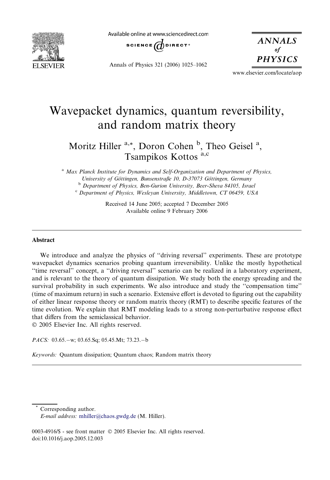

Available online at www.sciencedirect.com



Annals of Physics 321 (2006) 1025–1062

**ANNALS** of **PHYSICS** 

www.elsevier.com/locate/aop

# Wavepacket dynamics, quantum reversibility, and random matrix theory

# Moritz Hiller <sup>a,\*</sup>, Doron Cohen <sup>b</sup>, Theo Geisel <sup>a</sup>, Tsampikos Kottos a,c

<sup>a</sup> Max Planck Institute for Dynamics and Self-Organization and Department of Physics,<br>University of Göttingen, Bunsenstraße 10, D-37073 Göttingen, Germany <sup>b</sup> Department of Physics, Ben-Gurion University, Beer-Sheva 84105, Israel

 $c$  Department of Physics, Wesleyan University, Middletown, CT 06459, USA

Received 14 June 2005; accepted 7 December 2005 Available online 9 February 2006

#### Abstract

We introduce and analyze the physics of ''driving reversal'' experiments. These are prototype wavepacket dynamics scenarios probing quantum irreversibility. Unlike the mostly hypothetical ''time reversal'' concept, a ''driving reversal'' scenario can be realized in a laboratory experiment, and is relevant to the theory of quantum dissipation. We study both the energy spreading and the survival probability in such experiments. We also introduce and study the ''compensation time'' (time of maximum return) in such a scenario. Extensive effort is devoted to figuring out the capability of either linear response theory or random matrix theory (RMT) to describe specific features of the time evolution. We explain that RMT modeling leads to a strong non-perturbative response effect that differs from the semiclassical behavior. © 2005 Elsevier Inc. All rights reserved.

PACS: 03.65. – w; 03.65. Sq; 05.45. Mt; 73.23. – b

Keywords: Quantum dissipation; Quantum chaos; Random matrix theory

Corresponding author. E-mail address: [mhiller@chaos.gwdg.de](mailto:mhiller@chaos.gwdg.de) (M. Hiller).

0003-4916/\$ - see front matter © 2005 Elsevier Inc. All rights reserved. doi:10.1016/j.aop.2005.12.003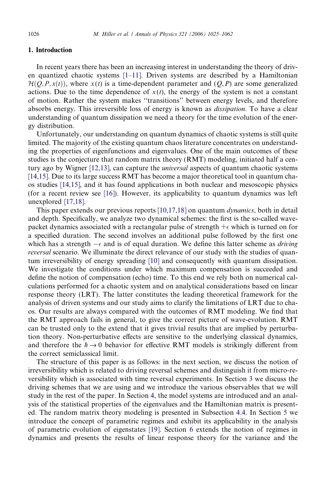# 1. Introduction

In recent years there has been an increasing interest in understanding the theory of driven quantized chaotic systems [\[1–11\].](#page-36-0) Driven systems are described by a Hamiltonian  $\mathcal{H}(O, P, x(t))$ , where  $x(t)$  is a time-dependent parameter and  $(O, P)$  are some generalized actions. Due to the time dependence of  $x(t)$ , the energy of the system is not a constant of motion. Rather the system makes ''transitions'' between energy levels, and therefore absorbs energy. This irreversible loss of energy is known as *dissipation*. To have a clear understanding of quantum dissipation we need a theory for the time evolution of the energy distribution.

Unfortunately, our understanding on quantum dynamics of chaotic systems is still quite limited. The majority of the existing quantum chaos literature concentrates on understanding the properties of eigenfunctions and eigenvalues. One of the main outcomes of these studies is the conjecture that random matrix theory (RMT) modeling, initiated half a cen-tury ago by Wigner [\[12,13\],](#page-37-0) can capture the *universal* aspects of quantum chaotic systems [\[14,15\].](#page-37-0) Due to its large success RMT has become a major theoretical tool in quantum chaos studies [\[14,15\]](#page-37-0), and it has found applications in both nuclear and mesoscopic physics (for a recent review see [\[16\]](#page-37-0)). However, its applicability to quantum dynamics was left unexplored [\[17,18\].](#page-37-0)

This paper extends our previous reports [\[10,17,18\]](#page-37-0) on quantum *dynamics*, both in detail and depth. Specifically, we analyze two dynamical schemes: the first is the so-called wavepacket dynamics associated with a rectangular pulse of strength  $+\epsilon$  which is turned on for a specified duration. The second involves an additional pulse followed by the first one which has a strength  $-\epsilon$  and is of equal duration. We define this latter scheme as *driving* reversal scenario. We illuminate the direct relevance of our study with the studies of quantum irreversibility of energy spreading [\[10\]](#page-37-0) and consequently with quantum dissipation. We investigate the conditions under which maximum compensation is succeeded and define the notion of compensation (echo) time. To this end we rely both on numerical calculations performed for a chaotic system and on analytical considerations based on linear response theory (LRT). The latter constitutes the leading theoretical framework for the analysis of driven systems and our study aims to clarify the limitations of LRT due to chaos. Our results are always compared with the outcomes of RMT modeling. We find that the RMT approach fails in general, to give the correct picture of wave-evolution. RMT can be trusted only to the extend that it gives trivial results that are implied by perturbation theory. Non-perturbative effects are sensitive to the underlying classical dynamics, and therefore the  $\hbar \rightarrow 0$  behavior for effective RMT models is strikingly different from the correct semiclassical limit.

The structure of this paper is as follows: in the next section, we discuss the notion of irreversibility which is related to driving reversal schemes and distinguish it from micro-reversibility which is associated with time reversal experiments. In Section [3](#page-4-0) we discuss the driving schemes that we are using and we introduce the various observables that we will study in the rest of the paper. In Section [4,](#page-7-0) the model systems are introduced and an analysis of the statistical properties of the eigenvalues and the Hamiltonian matrix is presented. The random matrix theory modeling is presented in Subsection [4.4.](#page-11-0) In Section [5](#page-13-0) we introduce the concept of parametric regimes and exhibit its applicability in the analysis of parametric evolution of eigenstates [\[19\]](#page-37-0). Section [6](#page-17-0) extends the notion of regimes in dynamics and presents the results of linear response theory for the variance and the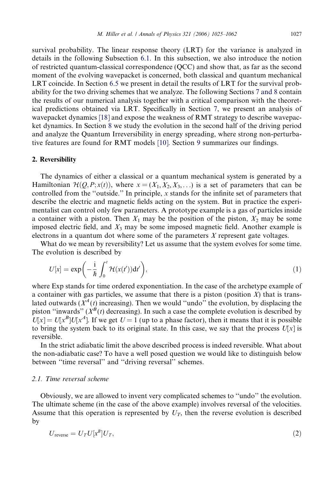survival probability. The linear response theory (LRT) for the variance is analyzed in details in the following Subsection [6.1](#page-18-0). In this subsection, we also introduce the notion of restricted quantum-classical correspondence (QCC) and show that, as far as the second moment of the evolving wavepacket is concerned, both classical and quantum mechanical LRT coincide. In Section [6.5](#page-20-0) we present in detail the results of LRT for the survival probability for the two driving schemes that we analyze. The following Sections [7 and 8](#page-22-0) contain the results of our numerical analysis together with a critical comparison with the theoretical predictions obtained via LRT. Specifically in Section [7](#page-22-0), we present an analysis of wavepacket dynamics [\[18\]](#page-37-0) and expose the weakness of RMT strategy to describe wavepacket dynamics. In Section [8](#page-25-0) we study the evolution in the second half of the driving period and analyze the Quantum Irreversibility in energy spreading, where strong non-perturbative features are found for RMT models [\[10\].](#page-37-0) Section [9](#page-34-0) summarizes our findings.

#### 2. Reversibility

The dynamics of either a classical or a quantum mechanical system is generated by a Hamiltonian  $\mathcal{H}(Q, P; x(t))$ , where  $x = (X_1, X_2, X_3, \ldots)$  is a set of parameters that can be controlled from the "outside." In principle,  $x$  stands for the infinite set of parameters that describe the electric and magnetic fields acting on the system. But in practice the experimentalist can control only few parameters. A prototype example is a gas of particles inside a container with a piston. Then  $X_1$  may be the position of the piston,  $X_2$  may be some imposed electric field, and  $X_3$  may be some imposed magnetic field. Another example is electrons in a quantum dot where some of the parameters X represent gate voltages.

What do we mean by reversibility? Let us assume that the system evolves for some time. The evolution is described by

$$
U[x] = \exp\left(-\frac{i}{\hbar} \int_0^t \mathcal{H}(x(t')) \mathrm{d}t'\right),\tag{1}
$$

where Exp stands for time ordered exponentiation. In the case of the archetype example of a container with gas particles, we assume that there is a piston (position  $X$ ) that is translated outwards ( $X^A(t)$  increasing). Then we would "undo" the evolution, by displacing the piston "inwards" ( $\chi^B(t)$  decreasing). In such a case the complete evolution is described by  $U[x] = U[x^B]U[x^A]$ . If we get  $U = 1$  (up to a phase factor), then it means that it is possible to bring the system back to its original state. In this case, we say that the process  $U[x]$  is reversible.

In the strict adiabatic limit the above described process is indeed reversible. What about the non-adiabatic case? To have a well posed question we would like to distinguish below between ''time reversal'' and ''driving reversal'' schemes.

# 2.1. Time reversal scheme

Obviously, we are allowed to invent very complicated schemes to ''undo'' the evolution. The ultimate scheme (in the case of the above example) involves reversal of the velocities. Assume that this operation is represented by  $U_T$ , then the reverse evolution is described by

$$
U_{\text{reverse}} = U_T U[x^B] U_T,\tag{2}
$$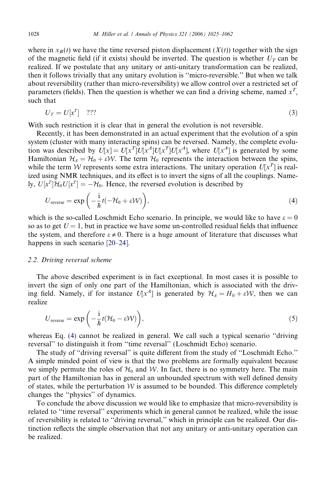where in  $x_B(t)$  we have the time reversed piston displacement  $(X(t))$  together with the sign of the magnetic field (if it exists) should be inverted. The question is whether  $U_T$  can be realized. If we postulate that any unitary or anti-unitary transformation can be realized, then it follows trivially that any unitary evolution is ''micro-reversible.'' But when we talk about reversibility (rather than micro-reversibility) we allow control over a restricted set of parameters (fields). Then the question is whether we can find a driving scheme, named  $x^T$ , such that

$$
U_T = U[x^T] \quad ? ? ? \tag{3}
$$

With such restriction it is clear that in general the evolution is not reversible.

Recently, it has been demonstrated in an actual experiment that the evolution of a spin system (cluster with many interacting spins) can be reversed. Namely, the complete evolution was described by  $U[x] = U[x^T]U[x^A]U[x^T]U[x^A]$ , where  $U[x^A]$  is generated by some Hamiltonian  $\mathcal{H}_A = \mathcal{H}_0 + \varepsilon \mathcal{W}$ . The term  $\mathcal{H}_0$  represents the interaction between the spins, while the term W represents some extra interactions. The unitary operation  $U[x^T]$  is realized using NMR techniques, and its effect is to invert the signs of all the couplings. Namely,  $U[x^T]\mathcal{H}_0U[x^T] = -\mathcal{H}_0$ . Hence, the reversed evolution is described by

$$
U_{\text{reverse}} = \exp\left(-\frac{i}{\hbar}t(-\mathcal{H}_0 + \varepsilon \mathcal{W})\right),\tag{4}
$$

which is the so-called Loschmidt Echo scenario. In principle, we would like to have  $\varepsilon = 0$ so as to get  $U = 1$ , but in practice we have some un-controlled residual fields that influence the system, and therefore  $\varepsilon \neq 0$ . There is a huge amount of literature that discusses what happens in such scenario [\[20–24\]](#page-37-0).

### 2.2. Driving reversal scheme

The above described experiment is in fact exceptional. In most cases it is possible to invert the sign of only one part of the Hamiltonian, which is associated with the driving field. Namely, if for instance  $U[x^A]$  is generated by  $\mathcal{H}_A = H_0 + \varepsilon \mathcal{W}$ , then we can realize

$$
U_{\text{reverse}} = \exp\left(-\frac{i}{\hbar}t(\mathcal{H}_0 - \varepsilon \mathcal{W})\right),\tag{5}
$$

whereas Eq. (4) cannot be realized in general. We call such a typical scenario "driving reversal'' to distinguish it from ''time reversal'' (Loschmidt Echo) scenario.

The study of ''driving reversal'' is quite different from the study of ''Loschmidt Echo.'' A simple minded point of view is that the two problems are formally equivalent because we simply permute the roles of  $H_0$  and W. In fact, there is no symmetry here. The main part of the Hamiltonian has in general an unbounded spectrum with well defined density of states, while the perturbation  $W$  is assumed to be bounded. This difference completely changes the ''physics'' of dynamics.

To conclude the above discussion we would like to emphasize that micro-reversibility is related to ''time reversal'' experiments which in general cannot be realized, while the issue of reversibility is related to ''driving reversal,'' which in principle can be realized. Our distinction reflects the simple observation that not any unitary or anti-unitary operation can be realized.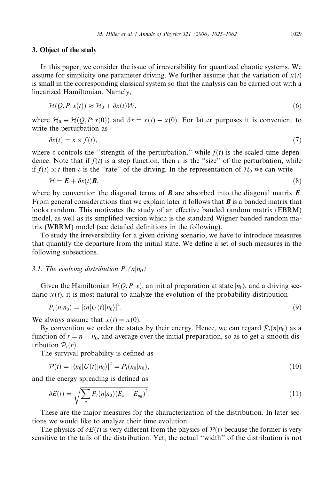#### <span id="page-4-0"></span>3. Object of the study

In this paper, we consider the issue of irreversibility for quantized chaotic systems. We assume for simplicity one parameter driving. We further assume that the variation of  $x(t)$ is small in the corresponding classical system so that the analysis can be carried out with a linearized Hamiltonian. Namely,

$$
\mathcal{H}(Q, P; x(t)) \approx \mathcal{H}_0 + \delta x(t) \mathcal{W},\tag{6}
$$

where  $\mathcal{H}_0 \equiv \mathcal{H}(Q, P; x(0))$  and  $\delta x = x(t) - x(0)$ . For latter purposes it is convenient to write the perturbation as

$$
\delta x(t) = \varepsilon \times f(t),\tag{7}
$$

where  $\varepsilon$  controls the "strength of the perturbation," while  $f(t)$  is the scaled time dependence. Note that if  $f(t)$  is a step function, then  $\varepsilon$  is the "size" of the perturbation, while if  $f(t) \propto t$  then  $\varepsilon$  is the "rate" of the driving. In the representation of  $\mathcal{H}_0$  we can write

$$
\mathcal{H} = \mathbf{E} + \delta x(t) \mathbf{B},\tag{8}
$$

where by convention the diagonal terms of  $\bm{B}$  are absorbed into the diagonal matrix  $\bm{E}$ . From general considerations that we explain later it follows that  $\bm{B}$  is a banded matrix that looks random. This motivates the study of an effective banded random matrix (EBRM) model, as well as its simplified version which is the standard Wigner banded random matrix (WBRM) model (see detailed definitions in the following).

To study the irreversibility for a given driving scenario, we have to introduce measures that quantify the departure from the initial state. We define a set of such measures in the following subsections.

# 3.1. The evolving distribution  $P_t(n|n_0)$

Given the Hamiltonian  $\mathcal{H}(Q, P; x)$ , an initial preparation at state  $|n_0\rangle$ , and a driving scenario  $x(t)$ , it is most natural to analyze the evolution of the probability distribution

$$
P_t(n|n_0) = |\langle n|U(t)|n_0\rangle|^2. \tag{9}
$$

We always assume that  $x(t) = x(0)$ .

By convention we order the states by their energy. Hence, we can regard  $P_t(n|n_0)$  as a function of  $r = n - n_0$ , and average over the initial preparation, so as to get a smooth distribution  $P_t(r)$ .

The survival probability is defined as

$$
\mathcal{P}(t) = |\langle n_0|U(t)|n_0\rangle|^2 = P_t(n_0|n_0),\tag{10}
$$

and the energy spreading is defined as

$$
\delta E(t) = \sqrt{\sum_{n} P_t(n|n_0)(E_n - E_{n_0})^2}.
$$
\n(11)

These are the major measures for the characterization of the distribution. In later sections we would like to analyze their time evolution.

The physics of  $\delta E(t)$  is very different from the physics of  $\mathcal{P}(t)$  because the former is very sensitive to the tails of the distribution. Yet, the actual ''width'' of the distribution is not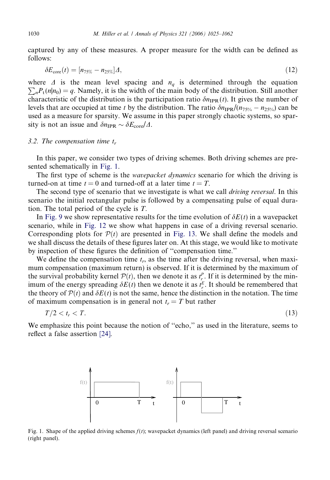<span id="page-5-0"></span>captured by any of these measures. A proper measure for the width can be defined as follows:

$$
\delta E_{\rm core}(t) = [n_{75\%} - n_{25\%}] \Delta, \tag{12}
$$

 $\sum_{n} P_t(n|n_0) = q$ . Namely, it is the width of the main body of the distribution. Still another where  $\Delta$  is the mean level spacing and  $n_q$  is determined through the equation characteristic of the distribution is the participation ratio  $\delta n_{\text{IPR}}(t)$ . It gives the number of levels that are occupied at time t by the distribution. The ratio  $\delta n_{IPR}/(n_{75\%} - n_{25\%})$  can be used as a measure for sparsity. We assume in this paper strongly chaotic systems, so sparsity is not an issue and  $\delta n_{\text{IPR}} \sim \delta E_{\text{core}}/A$ .

#### 3.2. The compensation time  $t_r$

In this paper, we consider two types of driving schemes. Both driving schemes are presented schematically in Fig. 1.

The first type of scheme is the *wavepacket dynamics* scenario for which the driving is turned-on at time  $t = 0$  and turned-off at a later time  $t = T$ .

The second type of scenario that we investigate is what we call *driving reversal*. In this scenario the initial rectangular pulse is followed by a compensating pulse of equal duration. The total period of the cycle is T.

In [Fig. 9](#page-23-0) we show representative results for the time evolution of  $\delta E(t)$  in a wavepacket scenario, while in [Fig. 12](#page-26-0) we show what happens in case of a driving reversal scenario. Corresponding plots for  $P(t)$  are presented in [Fig. 13.](#page-27-0) We shall define the models and we shall discuss the details of these figures later on. At this stage, we would like to motivate by inspection of these figures the definition of ''compensation time.''

We define the compensation time  $t_r$ , as the time after the driving reversal, when maximum compensation (maximum return) is observed. If it is determined by the maximum of the survival probability kernel  $P(t)$ , then we denote it as  $t_{r}^{P}$ . If it is determined by the minimum of the energy spreading  $\delta E(t)$  then we denote it as  $t_r^E$ . It should be remembered that the theory of  $\mathcal{P}(t)$  and  $\delta E(t)$  is not the same, hence the distinction in the notation. The time of maximum compensation is in general not  $t_r = T$  but rather

$$
T/2 < t_r < T. \tag{13}
$$

We emphasize this point because the notion of ''echo,'' as used in the literature, seems to reflect a false assertion [\[24\]](#page-37-0).



Fig. 1. Shape of the applied driving schemes  $f(t)$ ; wavepacket dynamics (left panel) and driving reversal scenario (right panel).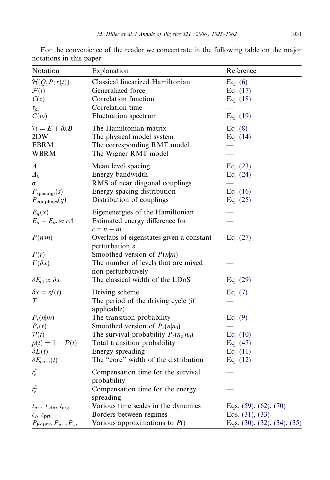| Notation                                                                                                                                             | Explanation                                                                                                                                                                                           | Reference                                                                            |
|------------------------------------------------------------------------------------------------------------------------------------------------------|-------------------------------------------------------------------------------------------------------------------------------------------------------------------------------------------------------|--------------------------------------------------------------------------------------|
| $\mathcal{H}(Q,P;x(t))$<br>$\mathcal{F}(t)$<br>$C(\tau)$<br>$\tau_{\rm cl}$<br>$C(\omega)$                                                           | Classical linearized Hamiltonian<br>Generalized force<br>Correlation function<br>Correlation time<br>Fluctuation spectrum                                                                             | Eq. $(6)$<br>Eq. $(17)$<br>Eq. $(18)$<br>Eq. $(19)$                                  |
| $\mathcal{H} = \boldsymbol{E} + \delta x \boldsymbol{B}$<br>2DW<br><b>EBRM</b><br><b>WBRM</b>                                                        | The Hamiltonian matrix<br>The physical model system<br>The corresponding RMT model<br>The Wigner RMT model                                                                                            | Eq. $(8)$<br>Eq. $(14)$                                                              |
| Δ<br>$\varDelta_b$<br>σ<br>$P_{\text{spacings}}(s)$<br>$P_{\text{couplings}}(q)$                                                                     | Mean level spacing<br>Energy bandwidth<br>RMS of near diagonal couplings<br>Energy spacing distribution<br>Distribution of couplings                                                                  | Eq. $(23)$<br>Eq. $(24)$<br>Eq. $(16)$<br>Eq. $(25)$                                 |
| $E_n(x)$<br>$E_n - E_m \approx r\Delta$                                                                                                              | Eigenenergies of the Hamiltonian<br>Estimated energy difference for<br>$r = n - m$                                                                                                                    |                                                                                      |
| P(n m)                                                                                                                                               | Overlaps of eigenstates given a constant<br>perturbation $\varepsilon$                                                                                                                                | Eq. $(27)$                                                                           |
| P(r)<br>$\Gamma(\delta x)$                                                                                                                           | Smoothed version of $P(n m)$<br>The number of levels that are mixed<br>non-perturbatively                                                                                                             |                                                                                      |
| $\delta E_{\rm cl} \propto \delta x$                                                                                                                 | The classical width of the LDoS                                                                                                                                                                       | Eq. $(29)$                                                                           |
| $\delta x = \varepsilon f(t)$<br>T                                                                                                                   | Driving scheme<br>The period of the driving cycle (if<br>applicable)                                                                                                                                  | Eq. $(7)$                                                                            |
| $P_t(n m)$<br>$P_t(r)$<br>$\mathcal{P}(t)$<br>$p(t) = 1 - \mathcal{P}(t)$<br>$\delta E(t)$<br>$\delta E_{\rm core}(t)$                               | The transition probability<br>Smoothed version of $P_t(n n_0)$<br>The survival probability $P_t(n_0 n_0)$<br>Total transition probability<br>Energy spreading<br>The "core" width of the distribution | Eq. $(9)$<br>Eq. $(10)$<br>Eq. $(47)$<br>Eq. $(11)$<br>Eq. $(12)$                    |
| $t_r^P$<br>$t_r^E$                                                                                                                                   | Compensation time for the survival<br>probability<br>Compensation time for the energy                                                                                                                 |                                                                                      |
| $t_{\text{prt}}, t_{\text{sdn}}, t_{\text{erg}}$<br>$\varepsilon_c$ , $\varepsilon_{\text{prt}}$<br>$P_{\text{FOPT}}, P_{\text{prt}}, P_{\text{sc}}$ | spreading<br>Various time scales in the dynamics<br>Borders between regimes<br>Various approximations to $P()$                                                                                        | Eqs. $(59)$ , $(62)$ , $(70)$<br>Eqs. $(31)$ , $(33)$<br>Eqs. (30), (32), (34), (35) |

For the convenience of the reader we concentrate in the following table on the major notations in this paper: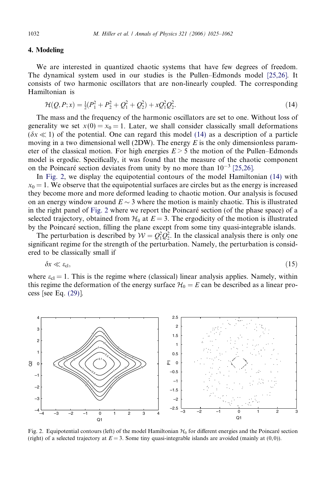#### <span id="page-7-0"></span>4. Modeling

We are interested in quantized chaotic systems that have few degrees of freedom. The dynamical system used in our studies is the Pullen–Edmonds model [\[25,26\].](#page-37-0) It consists of two harmonic oscillators that are non-linearly coupled. The corresponding Hamiltonian is

$$
\mathcal{H}(Q, P; x) = \frac{1}{2}(P_1^2 + P_2^2 + Q_1^2 + Q_2^2) + xQ_1^2Q_2^2.
$$
\n(14)

The mass and the frequency of the harmonic oscillators are set to one. Without loss of generality we set  $x(0) = x_0 = 1$ . Later, we shall consider classically small deformations  $(\delta x \ll 1)$  of the potential. One can regard this model (14) as a description of a particle moving in a two dimensional well (2DW). The energy  $E$  is the only dimensionless parameter of the classical motion. For high energies  $E > 5$  the motion of the Pullen–Edmonds model is ergodic. Specifically, it was found that the measure of the chaotic component on the Poincaré section deviates from unity by no more than  $10^{-3}$  [\[25,26\]](#page-37-0).

In Fig. 2, we display the equipotential contours of the model Hamiltonian (14) with  $x_0 = 1$ . We observe that the equipotential surfaces are circles but as the energy is increased they become more and more deformed leading to chaotic motion. Our analysis is focused on an energy window around  $E \sim 3$  where the motion is mainly chaotic. This is illustrated in the right panel of Fig. 2 where we report the Poincaré section (of the phase space) of a selected trajectory, obtained from  $\mathcal{H}_0$  at  $E = 3$ . The ergodicity of the motion is illustrated by the Poincaré section, filling the plane except from some tiny quasi-integrable islands.

The perturbation is described by  $W = Q_1^2 Q_2^2$ . In the classical analysis there is only one significant regime for the strength of the perturbation. Namely, the perturbation is considered to be classically small if

$$
\delta x \ll \varepsilon_{\rm cl},\tag{15}
$$

where  $\varepsilon_{cl} = 1$ . This is the regime where (classical) linear analysis applies. Namely, within this regime the deformation of the energy surface  $\mathcal{H}_0 = E$  can be described as a linear process [see Eq. [\(29\)\]](#page-13-0).



Fig. 2. Equipotential contours (left) of the model Hamiltonian  $H_0$  for different energies and the Poincaré section (right) of a selected trajectory at  $E = 3$ . Some tiny quasi-integrable islands are avoided (mainly at  $(0, 0)$ ).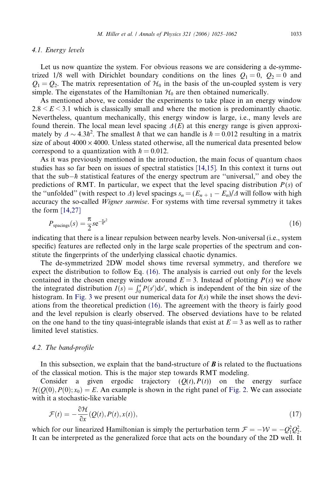#### <span id="page-8-0"></span>4.1. Energy levels

Let us now quantize the system. For obvious reasons we are considering a de-symmetrized 1/8 well with Dirichlet boundary conditions on the lines  $Q_1 = 0$ ,  $Q_2 = 0$  and  $Q_1 = Q_2$ . The matrix representation of  $\mathcal{H}_0$  in the basis of the un-coupled system is very simple. The eigenstates of the Hamiltonian  $\mathcal{H}_0$  are then obtained numerically.

As mentioned above, we consider the experiments to take place in an energy window  $2.8 \leq E \leq 3.1$  which is classically small and where the motion is predominantly chaotic. Nevertheless, quantum mechanically, this energy window is large, i.e., many levels are found therein. The local mean level spacing  $\Delta(E)$  at this energy range is given approximately by  $\Delta \sim 4.3\hbar^2$ . The smallest  $\hbar$  that we can handle is  $\hbar = 0.012$  resulting in a matrix size of about  $4000 \times 4000$ . Unless stated otherwise, all the numerical data presented below correspond to a quantization with  $\hbar = 0.012$ .

As it was previously mentioned in the introduction, the main focus of quantum chaos studies has so far been on issues of spectral statistics [\[14,15\].](#page-37-0) In this context it turns out that the sub- $\hbar$  statistical features of the energy spectrum are "universal," and obey the predictions of RMT. In particular, we expect that the level spacing distribution  $P(s)$  of the "unfolded" (with respect to  $\Delta$ ) level spacings  $s_n = (E_{n+1} - E_n)/\Delta$  will follow with high accuracy the so-called *Wigner surmise*. For systems with time reversal symmetry it takes the form [\[14,27\]](#page-37-0)

$$
P_{\text{spacings}}(s) = \frac{\pi}{2} s e^{-\frac{\pi}{4}s^2} \tag{16}
$$

indicating that there is a linear repulsion between nearby levels. Non-universal (i.e., system specific) features are reflected only in the large scale properties of the spectrum and constitute the fingerprints of the underlying classical chaotic dynamics.

The de-symmetrized 2DW model shows time reversal symmetry, and therefore we expect the distribution to follow Eq. (16). The analysis is carried out only for the levels contained in the chosen energy window around  $E = 3$ . Instead of plotting  $P(s)$  we show the integrated distribution  $I(s) = \int_0^s P(s')ds'$ , which is independent of the bin size of the histogram. In [Fig. 3](#page-9-0) we present our numerical data for  $I(s)$  while the inset shows the deviations from the theoretical prediction (16). The agreement with the theory is fairly good and the level repulsion is clearly observed. The observed deviations have to be related on the one hand to the tiny quasi-integrable islands that exist at  $E = 3$  as well as to rather limited level statistics.

#### 4.2. The band-profile

In this subsection, we explain that the band-structure of  $\bm{B}$  is related to the fluctuations of the classical motion. This is the major step towards RMT modeling.

Consider a given ergodic trajectory  $(Q(t), P(t))$  on the energy surface  $\mathcal{H}(Q(0), P(0); x_0) = E$ . An example is shown in the right panel of [Fig. 2](#page-7-0). We can associate with it a stochastic-like variable

$$
\mathcal{F}(t) = -\frac{\partial \mathcal{H}}{\partial x}(Q(t), P(t), x(t)),\tag{17}
$$

which for our linearized Hamiltonian is simply the perturbation term  $\mathcal{F} = -\mathcal{W} = -Q_1^2 Q_2^2$ . It can be interpreted as the generalized force that acts on the boundary of the 2D well. It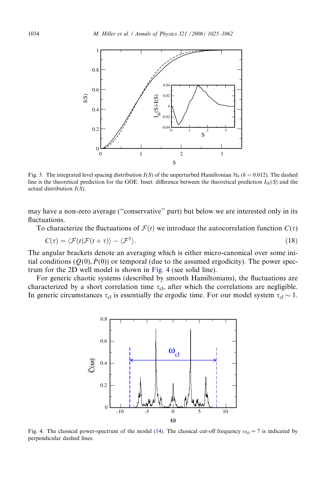<span id="page-9-0"></span>

Fig. 3. The integrated level spacing distribution  $I(S)$  of the unperturbed Hamiltonian  $H_0$  ( $\hbar = 0.012$ ). The dashed line is the theoretical prediction for the GOE. Inset: difference between the theoretical prediction  $I_{th}(S)$  and the actual distribution  $I(S)$ .

may have a non-zero average (''conservative'' part) but below we are interested only in its fluctuations.

To characterize the fluctuations of  $\mathcal{F}(t)$  we introduce the autocorrelation function  $C(\tau)$ 

$$
C(\tau) = \langle \mathcal{F}(t)\mathcal{F}(t+\tau) \rangle - \langle \mathcal{F}^2 \rangle. \tag{18}
$$

The angular brackets denote an averaging which is either micro-canonical over some initial conditions ( $Q(0),P(0)$ ) or temporal (due to the assumed ergodicity). The power spectrum for the 2D well model is shown in Fig. 4 (see solid line).

For generic chaotic systems (described by smooth Hamiltonians), the fluctuations are characterized by a short correlation time  $\tau_{\rm cl}$ , after which the correlations are negligible. In generic circumstances  $\tau_{cl}$  is essentially the ergodic time. For our model system  $\tau_{cl} \sim 1$ .



Fig. 4. The classical power-spectrum of the model [\(14\)](#page-7-0). The classical cut-off frequency  $\omega_{\rm cl} \simeq 7$  is indicated by perpendicular dashed lines.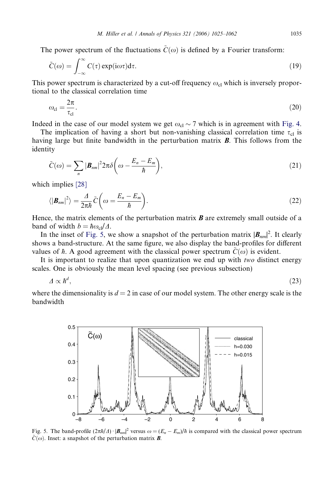<span id="page-10-0"></span>The power spectrum of the fluctuations  $C(\omega)$  is defined by a Fourier transform:

$$
\tilde{C}(\omega) = \int_{-\infty}^{\infty} C(\tau) \exp(i\omega \tau) d\tau.
$$
\n(19)

This power spectrum is characterized by a cut-off frequency  $\omega_{cl}$  which is inversely proportional to the classical correlation time

$$
\omega_{\rm cl} = \frac{2\pi}{\tau_{\rm cl}}.\tag{20}
$$

Indeed in the case of our model system we get  $\omega_{cl} \sim 7$  which is in agreement with [Fig. 4](#page-9-0).

The implication of having a short but non-vanishing classical correlation time  $\tau_{cl}$  is having large but finite bandwidth in the perturbation matrix  $\bm{B}$ . This follows from the identity

$$
\tilde{C}(\omega) = \sum_{n} |\boldsymbol{B}_{nm}|^2 2\pi \delta \left(\omega - \frac{E_n - E_m}{\hbar}\right),\tag{21}
$$

which implies [\[28\]](#page-37-0)

$$
\langle |\mathbf{B}_{nm}|^2 \rangle = \frac{A}{2\pi\hbar} \tilde{C} \bigg( \omega = \frac{E_n - E_m}{\hbar} \bigg). \tag{22}
$$

Hence, the matrix elements of the perturbation matrix  $\boldsymbol{B}$  are extremely small outside of a band of width  $b = \hbar \omega_{\rm cl} / \Delta$ .

In the inset of Fig. 5, we show a snapshot of the perturbation matrix  $|\mathbf{B}_{nm}|^2$ . It clearly shows a band-structure. At the same figure, we also display the band-profiles for different values of  $\hbar$ . A good agreement with the classical power spectrum  $\tilde{C}(\omega)$  is evident.

It is important to realize that upon quantization we end up with two distinct energy scales. One is obviously the mean level spacing (see previous subsection)

$$
\varDelta \propto \hbar^d,\tag{23}
$$

where the dimensionality is  $d = 2$  in case of our model system. The other energy scale is the bandwidth



Fig. 5. The band-profile  $(2\pi\hbar/4) \cdot |\mathbf{B}_{nm}|^2$  versus  $\omega = (E_n - E_m)/\hbar$  is compared with the classical power spectrum  $\tilde{C}(\omega)$ . Inset: a snapshot of the perturbation matrix **B**.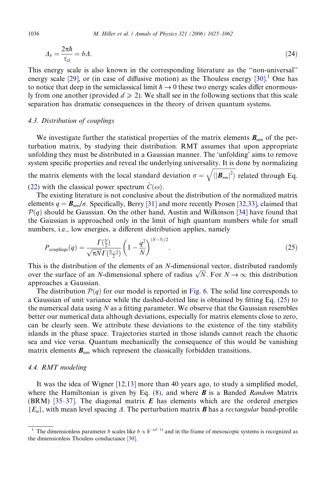$$
\Delta_b = \frac{2\pi\hbar}{\tau_{\rm cl}} = b\Delta. \tag{24}
$$

This energy scale is also known in the corresponding literature as the ''non-universal'' energy scale [\[29\]](#page-37-0), or (in case of diffusive motion) as the Thouless energy [\[30\]](#page-37-0).<sup>1</sup> One has to notice that deep in the semiclassical limit  $\hbar \rightarrow 0$  these two energy scales differ enormously from one another (provided  $d \ge 2$ ). We shall see in the following sections that this scale separation has dramatic consequences in the theory of driven quantum systems.

# 4.3. Distribution of couplings

We investigate further the statistical properties of the matrix elements  $B_{nm}$  of the perturbation matrix, by studying their distribution. RMT assumes that upon appropriate unfolding they must be distributed in a Gaussian manner. The 'unfolding' aims to remove system specific properties and reveal the underlying universality. It is done by normalizing ffiffiffiffiffiffiffiffiffiffiffiffiffiffiffiffi  $\overline{\phantom{a}}$ 

the matrix elements with the local standard deviation  $\sigma =$  $\langle\left|\boldsymbol{B}_{nm}\right|^2\rangle$ related through Eq. [\(22\)](#page-10-0) with the classical power spectrum  $\ddot{C}(\omega)$ .

The existing literature is not conclusive about the distribution of the normalized matrix elements  $q = \mathbf{B}_{nm}/\sigma$ . Specifically, Berry [\[31\]](#page-37-0) and more recently Prosen [\[32,33\]](#page-37-0), claimed that  $\mathcal{P}(q)$  should be Gaussian. On the other hand, Austin and Wilkinson [\[34\]](#page-37-0) have found that the Gaussian is approached only in the limit of high quantum numbers while for small numbers, i.e., low energies, a different distribution applies, namely

$$
P_{\text{couplings}}(q) = \frac{\Gamma(\frac{N}{2})}{\sqrt{\pi N} \Gamma(\frac{N-1}{2})} \left(1 - \frac{q^2}{N}\right)^{(N-3)/2}.
$$
 (25)

This is the distribution of the elements of an N-dimensional vector, distributed randomly This is the distribution of the elements of an N-dimensional vector, distributed randomly<br>over the surface of an N-dimensional sphere of radius  $\sqrt{N}$ . For  $N \to \infty$  this distribution approaches a Gaussian.

The distribution  $P(q)$  for our model is reported in [Fig. 6](#page-12-0). The solid line corresponds to a Gaussian of unit variance while the dashed-dotted line is obtained by fitting Eq. (25) to the numerical data using  $N$  as a fitting parameter. We observe that the Gaussian resembles better our numerical data although deviations, especially for matrix elements close to zero, can be clearly seen. We attribute these deviations to the existence of the tiny stability islands in the phase space. Trajectories started in those islands cannot reach the chaotic sea and vice versa. Quantum mechanically the consequence of this would be vanishing matrix elements  $B_{nm}$  which represent the classically forbidden transitions.

# 4.4. RMT modeling

It was the idea of Wigner [\[12,13\]](#page-37-0) more than 40 years ago, to study a simplified model, where the Hamiltonian is given by Eq.  $(8)$ , and where **B** is a Banded Random Matrix (BRM) [\[35–37\]](#page-37-0). The diagonal matrix  $\vec{E}$  has elements which are the ordered energies  ${E_n}$ , with mean level spacing  $\Delta$ . The perturbation matrix **B** has a *rectangular* band-profile

<span id="page-11-0"></span>

<sup>&</sup>lt;sup>1</sup> The dimensionless parameter *b* scales like  $b \propto \hbar^{-(d-1)}$  and in the frame of mesoscopic systems is recognized as the dimensionless Thouless conductance [\[30\].](#page-37-0)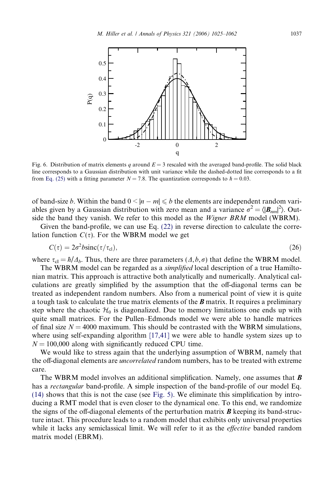<span id="page-12-0"></span>

Fig. 6. Distribution of matrix elements q around  $E = 3$  rescaled with the averaged band-profile. The solid black line corresponds to a Gaussian distribution with unit variance while the dashed-dotted line corresponds to a fit from [Eq. \(25\)](#page-11-0) with a fitting parameter  $N = 7.8$ . The quantization corresponds to  $\hbar = 0.03$ .

of band-size *b*. Within the band  $0 \le |n - m| \le b$  the elements are independent random variables given by a Gaussian distribution with zero mean and a variance  $\sigma^2 = \langle |\mathbf{B}_{nm}|^2 \rangle$ . Outside the band they vanish. We refer to this model as the *Wigner BRM* model (WBRM).

Given the band-profile, we can use Eq. [\(22\)](#page-10-0) in reverse direction to calculate the correlation function  $C(\tau)$ . For the WBRM model we get

$$
C(\tau) = 2\sigma^2 b \text{sinc}(\tau/\tau_{\text{cl}}),\tag{26}
$$

where  $\tau_{\rm cl} = \hbar / \Delta_b$ . Thus, there are three parameters  $(\Delta, b, \sigma)$  that define the WBRM model.

The WBRM model can be regarded as a simplified local description of a true Hamiltonian matrix. This approach is attractive both analytically and numerically. Analytical calculations are greatly simplified by the assumption that the off-diagonal terms can be treated as independent random numbers. Also from a numerical point of view it is quite a tough task to calculate the true matrix elements of the  $\bm{B}$  matrix. It requires a preliminary step where the chaotic  $\mathcal{H}_0$  is diagonalized. Due to memory limitations one ends up with quite small matrices. For the Pullen–Edmonds model we were able to handle matrices of final size  $N = 4000$  maximum. This should be contrasted with the WBRM simulations, where using self-expanding algorithm [\[17,41\]](#page-37-0) we were able to handle system sizes up to  $N = 100,000$  along with significantly reduced CPU time.

We would like to stress again that the underlying assumption of WBRM, namely that the off-diagonal elements are *uncorrelated* random numbers, has to be treated with extreme care.

The WBRM model involves an additional simplification. Namely, one assumes that  $\bm{B}$ has a *rectangular* band-profile. A simple inspection of the band-profile of our model Eq. [\(14\)](#page-7-0) shows that this is not the case (see [Fig. 5\)](#page-10-0). We eliminate this simplification by introducing a RMT model that is even closer to the dynamical one. To this end, we randomize the signs of the off-diagonal elements of the perturbation matrix  $\boldsymbol{B}$  keeping its band-structure intact. This procedure leads to a random model that exhibits only universal properties while it lacks any semiclassical limit. We will refer to it as the *effective* banded random matrix model (EBRM).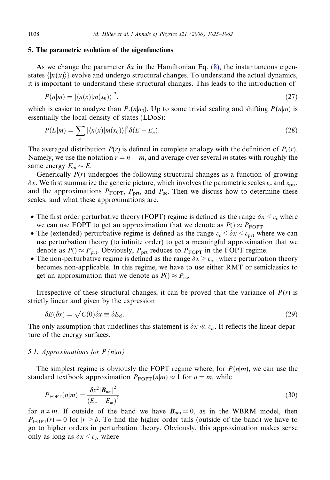#### <span id="page-13-0"></span>5. The parametric evolution of the eigenfunctions

As we change the parameter  $\delta x$  in the Hamiltonian Eq. [\(8\)](#page-4-0), the instantaneous eigenstates  $\{|n(x)\rangle\}$  evolve and undergo structural changes. To understand the actual dynamics, it is important to understand these structural changes. This leads to the introduction of

$$
P(n|m) = |\langle n(x)|m(x_0)\rangle|^2, \tag{27}
$$

which is easier to analyze than  $P_t(n|n_0)$ . Up to some trivial scaling and shifting  $P(n|m)$  is essentially the local density of states (LDoS):

$$
P(E|m) = \sum_{n} |\langle n(x)|m(x_0)\rangle|^2 \delta(E - E_n). \tag{28}
$$

The averaged distribution  $P(r)$  is defined in complete analogy with the definition of  $P<sub>t</sub>(r)$ . Namely, we use the notation  $r = n - m$ , and average over several m states with roughly the same energy  $E_m \sim E$ .

Generically  $P(r)$  undergoes the following structural changes as a function of growing  $\delta x$ . We first summarize the generic picture, which involves the parametric scales  $\varepsilon_c$  and  $\varepsilon_{\rm{nrt}}$ . and the approximations  $P_{\text{FOPT}}$ ,  $P_{\text{prt}}$ , and  $P_{\text{sc}}$ . Then we discuss how to determine these scales, and what these approximations are.

- The first order perturbative theory (FOPT) regime is defined as the range  $\delta x \leq \varepsilon_c$  where we can use FOPT to get an approximation that we denote as  $P() \approx P_{\text{FOPT}}$ .
- The (extended) perturbative regime is defined as the range  $\varepsilon_c < \delta x < \varepsilon_{\text{ort}}$  where we can use perturbation theory (to infinite order) to get a meaningful approximation that we denote as  $P() \approx P_{\text{prt}}$ . Obviously,  $P_{\text{prt}}$  reduces to  $P_{\text{FOPT}}$  in the FOPT regime.
- The non-perturbative regime is defined as the range  $\delta x > \varepsilon_{\text{prt}}$  where perturbation theory becomes non-applicable. In this regime, we have to use either RMT or semiclassics to get an approximation that we denote as  $P() \approx P_{\text{sc}}$ .

Irrespective of these structural changes, it can be proved that the variance of  $P(r)$  is strictly linear and given by the expression

$$
\delta E(\delta x) = \sqrt{C(0)} \delta x \equiv \delta E_{\rm cl}.\tag{29}
$$

The only assumption that underlines this statement is  $\delta x \ll \varepsilon_{cl}$ . It reflects the linear departure of the energy surfaces.

#### 5.1. Approximations for  $P(n|m)$

The simplest regime is obviously the FOPT regime where, for  $P(n|m)$ , we can use the standard textbook approximation  $P_{\text{FOPT}}(n|m) \approx 1$  for  $n = m$ , while

$$
P_{\text{FOPT}}(n|m) = \frac{\delta x^2 |\mathbf{B}_{nm}|^2}{\left(E_n - E_m\right)^2} \tag{30}
$$

for  $n \neq m$ . If outside of the band we have  $B_{nm} = 0$ , as in the WBRM model, then  $P_{\text{FOPT}}(r) = 0$  for  $|r| > b$ . To find the higher order tails (outside of the band) we have to go to higher orders in perturbation theory. Obviously, this approximation makes sense only as long as  $\delta x \leq \varepsilon_c$ , where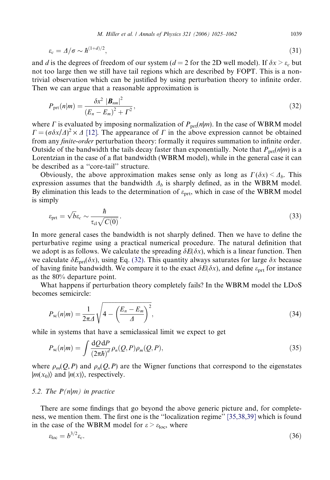<span id="page-14-0"></span>
$$
\varepsilon_c = \Delta/\sigma \sim \hbar^{(1+d)/2},\tag{31}
$$

and d is the degrees of freedom of our system ( $d = 2$  for the 2D well model). If  $\delta x > \varepsilon_c$  but not too large then we still have tail regions which are described by FOPT. This is a nontrivial observation which can be justified by using perturbation theory to infinite order. Then we can argue that a reasonable approximation is

$$
P_{\text{prt}}(n|m) = \frac{\delta x^2 |B_{nm}|^2}{(E_n - E_m)^2 + \Gamma^2},
$$
\n(32)

where  $\Gamma$  is evaluated by imposing normalization of  $P_{\text{prt}}(n|m)$ . In the case of WBRM model  $\Gamma = (\sigma \delta x / \Delta)^2 \times \Delta$  [\[12\]](#page-37-0). The appearance of  $\Gamma$  in the above expression cannot be obtained from any *finite-order* perturbation theory: formally it requires summation to infinite order. Outside of the bandwidth the tails decay faster than exponentially. Note that  $P_{\text{prt}}(n|m)$  is a Lorentzian in the case of a flat bandwidth (WBRM model), while in the general case it can be described as a ''core-tail'' structure.

Obviously, the above approximation makes sense only as long as  $\Gamma(\delta x) \leq \Delta_b$ . This expression assumes that the bandwidth  $\Delta_b$  is sharply defined, as in the WBRM model. By elimination this leads to the determination of  $\varepsilon_{\text{prt}}$ , which in case of the WBRM model is simply

$$
\varepsilon_{\rm pt} = \sqrt{b} \varepsilon_c \sim \frac{\hbar}{\tau_{\rm cl} \sqrt{C(0)}}.
$$
\n(33)

In more general cases the bandwidth is not sharply defined. Then we have to define the perturbative regime using a practical numerical procedure. The natural definition that we adopt is as follows. We calculate the spreading  $\delta E(\delta x)$ , which is a linear function. Then we calculate  $\delta E_{\text{prf}}(\delta x)$ , using Eq. (32). This quantity always saturates for large  $\delta x$  because of having finite bandwidth. We compare it to the exact  $\delta E(\delta x)$ , and define  $\varepsilon_{\text{prt}}$  for instance as the 80% departure point.

What happens if perturbation theory completely fails? In the WBRM model the LDoS becomes semicircle:

$$
P_{\rm sc}(n|m) = \frac{1}{2\pi\Delta} \sqrt{4 - \left(\frac{E_n - E_m}{\Delta}\right)^2},\tag{34}
$$

while in systems that have a semiclassical limit we expect to get

$$
P_{\rm sc}(n|m) = \int \frac{\mathrm{d}Q \,\mathrm{d}P}{\left(2\pi\hbar\right)^d} \,\rho_n(Q, P)\rho_m(Q, P),\tag{35}
$$

where  $\rho_m(Q, P)$  and  $\rho_n(Q, P)$  are the Wigner functions that correspond to the eigenstates  $|m(x_0)\rangle$  and  $|n(x)\rangle$ , respectively.

#### 5.2. The  $P(n|m)$  in practice

There are some findings that go beyond the above generic picture and, for completeness, we mention them. The first one is the ''localization regime'' [\[35,38,39\]](#page-37-0) which is found in the case of the WBRM model for  $\varepsilon > \varepsilon_{loc}$ , where

$$
\varepsilon_{\text{loc}} = b^{3/2} \varepsilon_c. \tag{36}
$$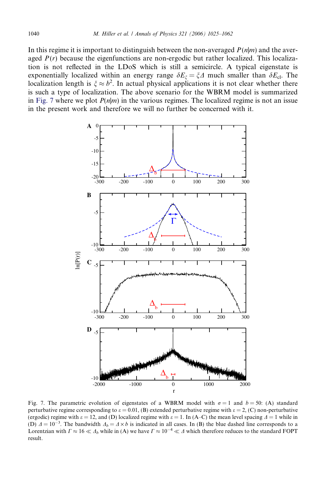In this regime it is important to distinguish between the non-averaged  $P(n|m)$  and the averaged  $P(r)$  because the eigenfunctions are non-ergodic but rather localized. This localization is not reflected in the LDoS which is still a semicircle. A typical eigenstate is exponentially localized within an energy range  $\delta E_{\xi} = \xi \Delta$  much smaller than  $\delta E_{\text{cl}}$ . The localization length is  $\xi \approx b^2$ . In actual physical applications it is not clear whether there is such a type of localization. The above scenario for the WBRM model is summarized in Fig. 7 where we plot  $P(n|m)$  in the various regimes. The localized regime is not an issue in the present work and therefore we will no further be concerned with it.



Fig. 7. The parametric evolution of eigenstates of a WBRM model with  $\sigma = 1$  and  $b = 50$ : (A) standard perturbative regime corresponding to  $\varepsilon = 0.01$ , (B) extended perturbative regime with  $\varepsilon = 2$ , (C) non-perturbative (ergodic) regime with  $\varepsilon = 12$ , and (D) localized regime with  $\varepsilon = 1$ . In (A–C) the mean level spacing  $\Delta = 1$  while in (D)  $\Delta = 10^{-3}$ . The bandwidth  $\Delta_b = \Delta \times b$  is indicated in all cases. In (B) the blue dashed line corresponds to a Lorentzian with  $\Gamma \approx 16 \ll \Delta_b$  while in (A) we have  $\Gamma \approx 10^{-4} \ll \Delta$  which therefore reduces to the standard FOPT result.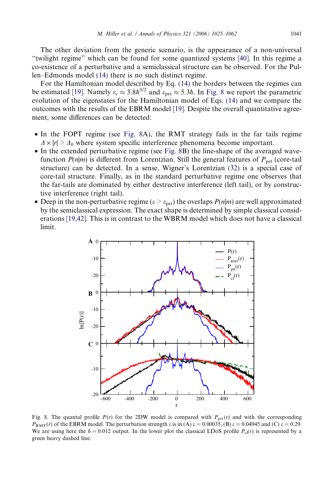The other deviation from the generic scenario, is the appearance of a non-universal ''twilight regime'' which can be found for some quantized systems [\[40\].](#page-37-0) In this regime a co-existence of a perturbative and a semiclassical structure can be observed. For the Pullen–Edmonds model [\(14\)](#page-7-0) there is no such distinct regime.

For the Hamiltonian model described by Eq. [\(14\)](#page-7-0) the borders between the regimes can be estimated [\[19\].](#page-37-0) Namely  $\varepsilon_c \approx 3.8 \hbar^{3/2}$  and  $\varepsilon_{\text{prt}} \approx 5.3 \hbar$ . In Fig. 8 we report the parametric evolution of the eigenstates for the Hamiltonian model of Eqs. [\(14\)](#page-7-0) and we compare the outcomes with the results of the EBRM model [\[19\].](#page-37-0) Despite the overall quantitative agreement, some differences can be detected:

- In the FOPT regime (see Fig. 8A), the RMT strategy fails in the far tails regime  $\Delta \times |r| > \Delta_b$  where system specific interference phenomena become important.
- In the extended perturbative regime (see Fig. 8B) the line-shape of the averaged wavefunction  $P(n|m)$  is different from Lorentzian. Still the general features of  $P<sub>prrt</sub>$  (core-tail structure) can be detected. In a sense, Wigner's Lorentzian [\(32\)](#page-14-0) is a special case of core-tail structure. Finally, as in the standard perturbative regime one observes that the far-tails are dominated by either destructive interference (left tail), or by constructive interference (right tail).
- Deep in the non-perturbative regime ( $\varepsilon > \varepsilon_{\text{prt}}$ ) the overlaps  $P(n|m)$  are well approximated by the semiclassical expression. The exact shape is determined by simple classical considerations [\[19,42\].](#page-37-0) This is in contrast to the WBRM model which does not have a classical limit.



Fig. 8. The quantal profile  $P(r)$  for the 2DW model is compared with  $P_{\text{prt}}(r)$  and with the corresponding  $P_{RMT}(r)$  of the EBRM model. The perturbation strength  $\varepsilon$  is in (A)  $\varepsilon = 0.00035$ , (B)  $\varepsilon = 0.04945$  and (C)  $\varepsilon = 0.29$ . We are using here the  $\hbar = 0.012$  output. In the lower plot the classical LDoS profile  $P_{\text{cl}}(r)$  is represented by a green heavy dashed line.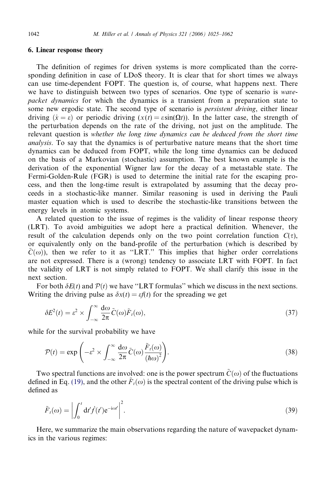# <span id="page-17-0"></span>6. Linear response theory

The definition of regimes for driven systems is more complicated than the corresponding definition in case of LDoS theory. It is clear that for short times we always can use time-dependent FOPT. The question is, of course, what happens next. There we have to distinguish between two types of scenarios. One type of scenario is wavepacket dynamics for which the dynamics is a transient from a preparation state to some new ergodic state. The second type of scenario is *persistent driving*, either linear driving  $(\dot{x} = \varepsilon)$  or periodic driving  $(x(t) = \varepsilon \sin(\Omega t))$ . In the latter case, the strength of the perturbation depends on the rate of the driving, not just on the amplitude. The relevant question is whether the long time dynamics can be deduced from the short time analysis. To say that the dynamics is of perturbative nature means that the short time dynamics can be deduced from FOPT, while the long time dynamics can be deduced on the basis of a Markovian (stochastic) assumption. The best known example is the derivation of the exponential Wigner law for the decay of a metastable state. The Fermi-Golden-Rule (FGR) is used to determine the initial rate for the escaping process, and then the long-time result is extrapolated by assuming that the decay proceeds in a stochastic-like manner. Similar reasoning is used in deriving the Pauli master equation which is used to describe the stochastic-like transitions between the energy levels in atomic systems.

A related question to the issue of regimes is the validity of linear response theory (LRT). To avoid ambiguities we adopt here a practical definition. Whenever, the result of the calculation depends only on the two point correlation function  $C(\tau)$ , or equivalently only on the band-profile of the perturbation (which is described by  $\tilde{C}(\omega)$ , then we refer to it as "LRT." This implies that higher order correlations are not expressed. There is a (wrong) tendency to associate LRT with FOPT. In fact the validity of LRT is not simply related to FOPT. We shall clarify this issue in the next section.

For both  $\delta E(t)$  and  $\mathcal{P}(t)$  we have "LRT formulas" which we discuss in the next sections. Writing the driving pulse as  $\delta x(t) = \epsilon f(t)$  for the spreading we get

$$
\delta E^2(t) = \varepsilon^2 \times \int_{-\infty}^{\infty} \frac{d\omega}{2\pi} \tilde{C}(\omega) \tilde{F}_t(\omega), \tag{37}
$$

while for the survival probability we have

$$
\mathcal{P}(t) = \exp\left(-\varepsilon^2 \times \int_{-\infty}^{\infty} \frac{d\omega}{2\pi} \tilde{C}(\omega) \frac{\tilde{F}_t(\omega)}{\left(\hbar\omega\right)^2}\right).
$$
\n(38)

Two spectral functions are involved: one is the power spectrum  $\tilde{C}(\omega)$  of the fluctuations defined in Eq. [\(19\),](#page-10-0) and the other  $\tilde{F}_{t}(\omega)$  is the spectral content of the driving pulse which is defined as

$$
\tilde{F}_t(\omega) = \left| \int_0^t dt' \dot{f}(t') e^{-i\omega t'} \right|^2.
$$
\n(39)

Here, we summarize the main observations regarding the nature of wavepacket dynamics in the various regimes: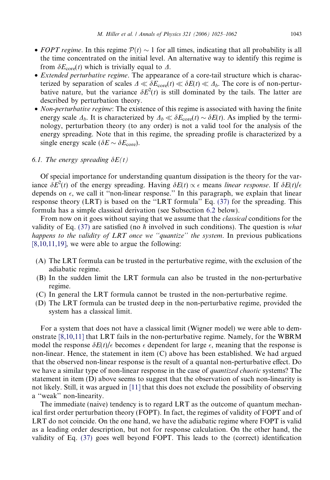- <span id="page-18-0"></span>• FOPT regime. In this regime  $\mathcal{P}(t) \sim 1$  for all times, indicating that all probability is all the time concentrated on the initial level. An alternative way to identify this regime is from  $\delta E_{\text{core}}(t)$  which is trivially equal to  $\Delta$ .
- *Extended perturbative regime*. The appearance of a core-tail structure which is characterized by separation of scales  $\Delta \ll \delta E_{\text{core}}(t) \ll \delta E(t) \ll \Delta_b$ . The core is of non-perturbative nature, but the variance  $\delta E^2(t)$  is still dominated by the tails. The latter are described by perturbation theory.
- Non-perturbative regime: The existence of this regime is associated with having the finite energy scale  $\Delta_b$ . It is characterized by  $\Delta_b \ll \delta E_{\text{core}}(t) \sim \delta E(t)$ . As implied by the terminology, perturbation theory (to any order) is not a valid tool for the analysis of the energy spreading. Note that in this regime, the spreading profile is characterized by a single energy scale ( $\delta E \sim \delta E_{\text{core}}$ ).

# 6.1. The energy spreading  $\delta E(t)$

Of special importance for understanding quantum dissipation is the theory for the variance  $\delta E^2(t)$  of the energy spreading. Having  $\delta E(t) \propto \epsilon$  means linear response. If  $\delta E(t)/\epsilon$ depends on  $\epsilon$ , we call it "non-linear response." In this paragraph, we explain that linear response theory (LRT) is based on the ''LRT formula'' Eq. [\(37\)](#page-17-0) for the spreading. This formula has a simple classical derivation (see Subsection [6.2](#page-19-0) below).

From now on it goes without saying that we assume that the *classical* conditions for the validity of Eq. [\(37\)](#page-17-0) are satisfied (no  $\hbar$  involved in such conditions). The question is *what* happens to the validity of LRT once we "quantize" the system. In previous publications  $[8,10,11,19]$ , we were able to argue the following:

- (A) The LRT formula can be trusted in the perturbative regime, with the exclusion of the adiabatic regime.
- (B) In the sudden limit the LRT formula can also be trusted in the non-perturbative regime.
- (C) In general the LRT formula cannot be trusted in the non-perturbative regime.
- (D) The LRT formula can be trusted deep in the non-perturbative regime, provided the system has a classical limit.

For a system that does not have a classical limit (Wigner model) we were able to demonstrate [\[8,10,11\]](#page-37-0) that LRT fails in the non-perturbative regime. Namely, for the WBRM model the response  $\delta E(t)/\epsilon$  becomes  $\epsilon$  dependent for large  $\epsilon$ , meaning that the response is non-linear. Hence, the statement in item (C) above has been established. We had argued that the observed non-linear response is the result of a quantal non-perturbative effect. Do we have a similar type of non-linear response in the case of *quantized chaotic* systems? The statement in item (D) above seems to suggest that the observation of such non-linearity is not likely. Still, it was argued in [\[11\]](#page-37-0) that this does not exclude the possibility of observing a ''weak'' non-linearity.

The immediate (naive) tendency is to regard LRT as the outcome of quantum mechanical first order perturbation theory (FOPT). In fact, the regimes of validity of FOPT and of LRT do not coincide. On the one hand, we have the adiabatic regime where FOPT is valid as a leading order description, but not for response calculation. On the other hand, the validity of Eq. [\(37\)](#page-17-0) goes well beyond FOPT. This leads to the (correct) identification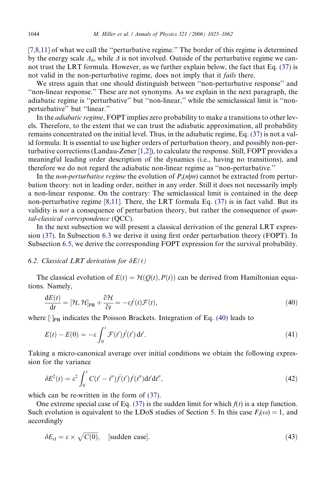<span id="page-19-0"></span>[\[7,8,11\]](#page-37-0) of what we call the "perturbative regime." The border of this regime is determined by the energy scale  $\Delta_b$ , while  $\Delta$  is not involved. Outside of the perturbative regime we cannot trust the LRT formula. However, as we further explain below, the fact that Eq. [\(37\)](#page-17-0) is not valid in the non-perturbative regime, does not imply that it *fails* there.

We stress again that one should distinguish between ''non-perturbative response'' and ''non-linear response.'' These are not synonyms. As we explain in the next paragraph, the adiabatic regime is ''perturbative'' but ''non-linear,'' while the semiclassical limit is ''nonperturbative'' but ''linear.''

In the *adiabatic regime*, FOPT implies zero probability to make a transitions to other levels. Therefore, to the extent that we can trust the adiabatic approximation, all probability remains concentrated on the initial level. Thus, in the adiabatic regime, Eq. [\(37\)](#page-17-0) is not a valid formula: It is essential to use higher orders of perturbation theory, and possibly non-perturbative corrections (Landau-Zener [\[1,2\]](#page-36-0)), to calculate the response. Still, FOPT provides a meaningful leading order description of the dynamics (i.e., having no transitions), and therefore we do not regard the adiabatic non-linear regime as ''non-perturbative.''

In the *non-perturbative regime* the evolution of  $P_t(n|m)$  cannot be extracted from perturbation theory: not in leading order, neither in any order. Still it does not necessarily imply a non-linear response. On the contrary: The semiclassical limit is contained in the deep non-perturbative regime  $[8,11]$ . There, the LRT formula Eq. [\(37\)](#page-17-0) is in fact valid. But its validity is *not* a consequence of perturbation theory, but rather the consequence of *quan*tal-classical correspondence (QCC).

In the next subsection we will present a classical derivation of the general LRT expression [\(37\)](#page-17-0). In Subsection [6.3](#page-20-0) we derive it using first order perturbation theory (FOPT). In Subsection [6.5](#page-20-0), we derive the corresponding FOPT expression for the survival probability.

# 6.2. Classical LRT derivation for  $\delta E(t)$

The classical evolution of  $E(t) = H(Q(t), P(t))$  can be derived from Hamiltonian equations. Namely,

$$
\frac{dE(t)}{dt} = [\mathcal{H}, \mathcal{H}]_{PB} + \frac{\partial \mathcal{H}}{\partial t} = -\varepsilon \dot{f}(t) \mathcal{F}(t),\tag{40}
$$

where  $\lceil \cdot \rceil_{\text{PB}}$  indicates the Poisson Brackets. Integration of Eq. (40) leads to

$$
E(t) - E(0) = -\varepsilon \int_0^t \mathcal{F}(t') \dot{f}(t') dt'. \tag{41}
$$

Taking a micro-canonical average over initial conditions we obtain the following expression for the variance

$$
\delta E^2(t) = \varepsilon^2 \int_0^t C(t'-t'') \dot{f}(t') \dot{f}(t'') dt' dt'', \tag{42}
$$

which can be re-written in the form of  $(37)$ .

One extreme special case of Eq. [\(37\)](#page-17-0) is the sudden limit for which  $f(t)$  is a step function. Such evolution is equivalent to the LDoS studies of Section [5.](#page-13-0) In this case  $F_t(\omega) = 1$ , and accordingly

$$
\delta E_{\rm cl} = \varepsilon \times \sqrt{C(0)}, \quad \text{[sudden case]}.
$$
\n
$$
(43)
$$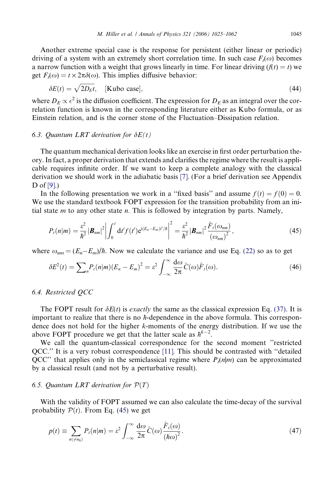<span id="page-20-0"></span>Another extreme special case is the response for persistent (either linear or periodic) driving of a system with an extremely short correlation time. In such case  $F_t(\omega)$  becomes a narrow function with a weight that grows linearly in time. For linear driving  $(f(t) = t)$  we get  $F_t(\omega) = t \times 2\pi\delta(\omega)$ . This implies diffusive behavior:

$$
\delta E(t) = \sqrt{2D_E t}, \quad [\text{Kubo case}], \tag{44}
$$

where  $D_E \propto \epsilon^2$  is the diffusion coefficient. The expression for  $D_E$  as an integral over the correlation function is known in the corresponding literature either as Kubo formula, or as Einstein relation, and is the corner stone of the Fluctuation–Dissipation relation.

## 6.3. Quantum LRT derivation for  $\delta E(t)$

The quantum mechanical derivation looks like an exercise in first order perturbation theory. In fact, a proper derivation that extends and clarifies the regime where the result is applicable requires infinite order. If we want to keep a complete analogy with the classical derivation we should work in the adiabatic basis [\[7\].](#page-37-0) (For a brief derivation see Appendix D of [\[9\].](#page-37-0))

In the following presentation we work in a "fixed basis" and assume  $f(t) = f(0) = 0$ . We use the standard textbook FOPT expression for the transition probability from an initial state  $m$  to any other state  $n$ . This is followed by integration by parts. Namely,

$$
P_t(n|m) = \frac{\varepsilon^2}{\hbar^2} |\mathbf{B}_{nm}|^2 \left| \int_0^t dt' f(t') e^{i(E_n - E_m)t'/\hbar} \right|^2 = \frac{\varepsilon^2}{\hbar^2} |\mathbf{B}_{nm}|^2 \frac{\tilde{F}_t(\omega_{nm})}{(\omega_{nm})^2},
$$
(45)

where  $\omega_{nm} = (E_n - E_m)/\hbar$ . Now we calculate the variance and use Eq. [\(22\)](#page-10-0) so as to get

$$
\delta E^2(t) = \sum_{n} P_t(n|m) (E_n - E_m)^2 = \varepsilon^2 \int_{-\infty}^{\infty} \frac{d\omega}{2\pi} \tilde{C}(\omega) \tilde{F}_t(\omega).
$$
 (46)

# 6.4. Restricted QCC

The FOPT result for  $\delta E(t)$  is *exactly* the same as the classical expression Eq. [\(37\)](#page-17-0). It is important to realize that there is no  $\hbar$ -dependence in the above formula. This correspondence does not hold for the higher k-moments of the energy distribution. If we use the above FOPT procedure we get that the latter scale as  $\hbar^{k-2}$ .

We call the quantum-classical correspondence for the second moment ''restricted QCC.'' It is a very robust correspondence [\[11\]](#page-37-0). This should be contrasted with ''detailed QCC" that applies only in the semiclassical regime where  $P_t(n|m)$  can be approximated by a classical result (and not by a perturbative result).

#### 6.5. Quantum LRT derivation for  $\mathcal{P}(T)$

With the validity of FOPT assumed we can also calculate the time-decay of the survival probability  $P(t)$ . From Eq. (45) we get

$$
p(t) \equiv \sum_{n(\neq n_0)} P_t(n|m) = \varepsilon^2 \int_{-\infty}^{\infty} \frac{d\omega}{2\pi} \tilde{C}(\omega) \frac{\tilde{F}_t(\omega)}{(h\omega)^2}.
$$
 (47)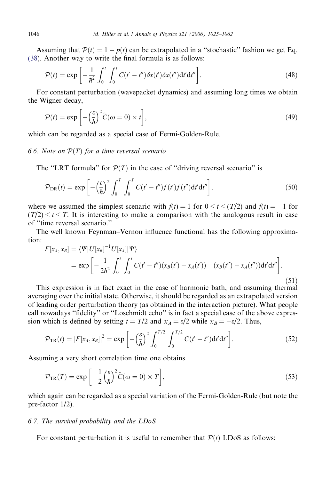Assuming that  $P(t) = 1 - p(t)$  can be extrapolated in a "stochastic" fashion we get Eq. [\(38](#page-17-0)). Another way to write the final formula is as follows:

$$
\mathcal{P}(t) = \exp\left[-\frac{1}{\hbar^2} \int_0^t \int_0^t C(t'-t'') \delta x(t') \delta x(t'') dt' dt''\right].
$$
\n(48)

For constant perturbation (wavepacket dynamics) and assuming long times we obtain the Wigner decay,

$$
\mathcal{P}(t) = \exp\left[-\left(\frac{\varepsilon}{\hbar}\right)^2 \tilde{C}(\omega = 0) \times t\right],\tag{49}
$$

which can be regarded as a special case of Fermi-Golden-Rule.

# 6.6. Note on  $\mathcal{P}(T)$  for a time reversal scenario

The "LRT formula" for  $\mathcal{P}(T)$  in the case of "driving reversal scenario" is

$$
\mathcal{P}_{\text{DR}}(t) = \exp\left[-\left(\frac{\varepsilon}{\hbar}\right)^2 \int_0^T \int_0^T C(t'-t'')f(t')dt'dt''\right],\tag{50}
$$

where we assumed the simplest scenario with  $f(t) = 1$  for  $0 \le t \le (T/2)$  and  $f(t) = -1$  for  $(T/2) < t < T$ . It is interesting to make a comparison with the analogous result in case of ''time reversal scenario.''

The well known Feynman–Vernon influence functional has the following approximation:

$$
F[x_A, x_B] = \langle \Psi | U[x_B]^{-1} U[x_A] | \Psi \rangle
$$
  
=  $\exp \left[ -\frac{1}{2\hbar^2} \int_0^t \int_0^t C(t'-t'')(x_B(t') - x_A(t')) \left( x_B(t'') - x_A(t'') \right) dt'dt'' \right].$  (51)

This expression is in fact exact in the case of harmonic bath, and assuming thermal averaging over the initial state. Otherwise, it should be regarded as an extrapolated version of leading order perturbation theory (as obtained in the interaction picture). What people call nowadays ''fidelity'' or ''Loschmidt echo'' is in fact a special case of the above expression which is defined by setting  $t = T/2$  and  $x_A = \varepsilon/2$  while  $x_B = -\varepsilon/2$ . Thus,

$$
\mathcal{P}_{TR}(t) = |F[x_A, x_B]|^2 = \exp\left[-\left(\frac{\varepsilon}{\hbar}\right)^2 \int_0^{T/2} \int_0^{T/2} C(t'-t'') dt'dt''\right].
$$
\n(52)

Assuming a very short correlation time one obtains

$$
\mathcal{P}_{\text{TR}}(T) = \exp\left[-\frac{1}{2}\left(\frac{\varepsilon}{\hbar}\right)^2 \tilde{C}(\omega = 0) \times T\right],\tag{53}
$$

which again can be regarded as a special variation of the Fermi-Golden-Rule (but note the pre-factor 1/2).

## 6.7. The survival probability and the LDoS

For constant perturbation it is useful to remember that  $P(t)$  LDoS as follows:

<span id="page-21-0"></span>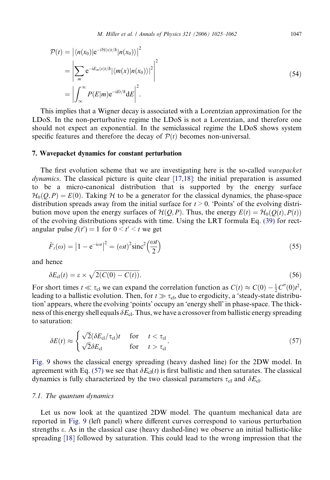<span id="page-22-0"></span>
$$
\mathcal{P}(t) = \left| \langle n(x_0) | e^{-i\mathcal{H}(x)t/\hbar} | n(x_0) \rangle \right|^2
$$
  
\n
$$
= \left| \sum_m e^{-iE_m(x)t/\hbar} | \langle m(x) | n(x_0) \rangle |^2 \right|^2
$$
  
\n
$$
= \left| \int_{-\infty}^{\infty} P(E|m) e^{-iEt/\hbar} dE \right|^2.
$$
 (54)

This implies that a Wigner decay is associated with a Lorentzian approximation for the LDoS. In the non-perturbative regime the LDoS is not a Lorentzian, and therefore one should not expect an exponential. In the semiclassical regime the LDoS shows system specific features and therefore the decay of  $P(t)$  becomes non-universal.

#### 7. Wavepacket dynamics for constant perturbation

The first evolution scheme that we are investigating here is the so-called wavepacket dynamics. The classical picture is quite clear [\[17,18\]](#page-37-0): the initial preparation is assumed to be a micro-canonical distribution that is supported by the energy surface  $\mathcal{H}_0(Q, P) = E(0)$ . Taking H to be a generator for the classical dynamics, the phase-space distribution spreads away from the initial surface for  $t > 0$ . 'Points' of the evolving distribution move upon the energy surfaces of  $\mathcal{H}(Q, P)$ . Thus, the energy  $E(t) = \mathcal{H}_0(Q(t), P(t))$ of the evolving distributions spreads with time. Using the LRT formula Eq. [\(39\)](#page-17-0) for rectangular pulse  $f(t') = 1$  for  $0 \le t' \le t$  we get

$$
\tilde{F}_t(\omega) = \left| 1 - e^{-i\omega t} \right|^2 = (\omega t)^2 \operatorname{sinc}^2 \left( \frac{\omega t}{2} \right) \tag{55}
$$

and hence

$$
\delta E_{\rm cl}(t) = \varepsilon \times \sqrt{2(C(0) - C(t))}.\tag{56}
$$

For short times  $t \ll \tau_{cl}$  we can expand the correlation function as  $C(t) \approx C(0) - \frac{1}{2}C''(0)t^2$ , leading to a ballistic evolution. Then, for  $t \gg \tau_{\text{cl}}$ , due to ergodicity, a 'steady-state distribution' appears, where the evolving 'points' occupy an 'energy shell' in phase-space. The thickness of this energy shell equals  $\delta E_{\text{cl}}$ . Thus, we have a crossover from ballistic energy spreading to saturation:

$$
\delta E(t) \approx \begin{cases} \sqrt{2} (\delta E_{\rm cl}/\tau_{\rm cl}) t & \text{for} \quad t < \tau_{\rm cl} \\ \sqrt{2} \delta E_{\rm cl} & \text{for} \quad t > \tau_{\rm cl} \end{cases} \tag{57}
$$

[Fig. 9](#page-23-0) shows the classical energy spreading (heavy dashed line) for the 2DW model. In agreement with Eq. (57) we see that  $\delta E_{\text{cl}}(t)$  is first ballistic and then saturates. The classical dynamics is fully characterized by the two classical parameters  $\tau_{cl}$  and  $\delta E_{cl}$ .

# 7.1. The quantum dynamics

Let us now look at the quantized 2DW model. The quantum mechanical data are reported in [Fig. 9](#page-23-0) (left panel) where different curves correspond to various perturbation strengths e. As in the classical case (heavy dashed-line) we observe an initial ballistic-like spreading [\[18\]](#page-37-0) followed by saturation. This could lead to the wrong impression that the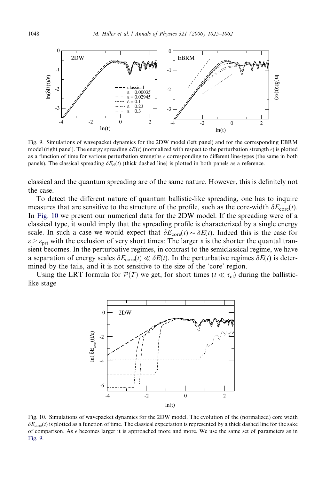<span id="page-23-0"></span>

Fig. 9. Simulations of wavepacket dynamics for the 2DW model (left panel) and for the corresponding EBRM model (right panel). The energy spreading  $\delta E(t)$  (normalized with respect to the perturbation strength  $\epsilon$ ) is plotted as a function of time for various perturbation strengths  $\epsilon$  corresponding to different line-types (the same in both panels). The classical spreading  $\delta E_{\rm cl}(t)$  (thick dashed line) is plotted in both panels as a reference.

classical and the quantum spreading are of the same nature. However, this is definitely not the case.

To detect the different nature of quantum ballistic-like spreading, one has to inquire measures that are sensitive to the structure of the profile, such as the core-width  $\delta E_{\text{core}}(t)$ . In Fig. 10 we present our numerical data for the 2DW model. If the spreading were of a classical type, it would imply that the spreading profile is characterized by a single energy scale. In such a case we would expect that  $\delta E_{\text{core}}(t) \sim \delta E(t)$ . Indeed this is the case for  $\varepsilon > \varepsilon_{\text{prt}}$  with the exclusion of very short times: The larger  $\varepsilon$  is the shorter the quantal transient becomes. In the perturbative regimes, in contrast to the semiclassical regime, we have a separation of energy scales  $\delta E_{\text{core}}(t) \ll \delta E(t)$ . In the perturbative regimes  $\delta E(t)$  is determined by the tails, and it is not sensitive to the size of the 'core' region.

Using the LRT formula for  $P(T)$  we get, for short times ( $t \ll \tau_{\text{cl}}$ ) during the ballisticlike stage



Fig. 10. Simulations of wavepacket dynamics for the 2DW model. The evolution of the (normalized) core width  $\delta E_{\text{core}}(t)$  is plotted as a function of time. The classical expectation is represented by a thick dashed line for the sake of comparison. As  $\epsilon$  becomes larger it is approached more and more. We use the same set of parameters as in Fig. 9.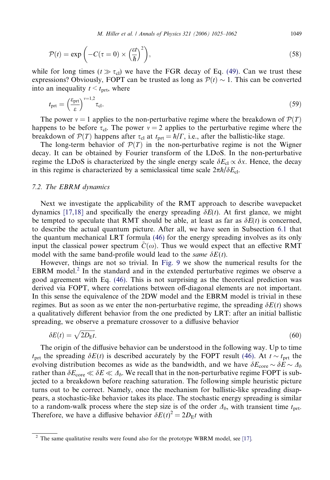M. Hiller et al. / Annals of Physics 321 (2006) 1025-1062 1049

<span id="page-24-0"></span>
$$
\mathcal{P}(t) = \exp\left(-C(\tau = 0) \times \left(\frac{\varepsilon t}{\hbar}\right)^2\right),\tag{58}
$$

while for long times ( $t \gg \tau_{\text{cl}}$ ) we have the FGR decay of Eq. [\(49\)](#page-21-0). Can we trust these expressions? Obviously, FOPT can be trusted as long as  $P(t) \sim 1$ . This can be converted into an inequality  $t \leq t_{\text{prt}}$ , where

$$
t_{\rm prt} = \left(\frac{\varepsilon_{\rm prt}}{\varepsilon}\right)^{v=1,2} \tau_{\rm cl}.\tag{59}
$$

The power  $v = 1$  applies to the non-perturbative regime where the breakdown of  $\mathcal{P}(T)$ happens to be before  $\tau_{\text{cl}}$ . The power  $v = 2$  applies to the perturbative regime where the breakdown of  $P(T)$  happens after  $\tau_{cl}$  at  $t_{\text{prt}} = \hbar / \Gamma$ , i.e., after the ballistic-like stage.

The long-term behavior of  $\mathcal{P}(T)$  in the non-perturbative regime is not the Wigner decay. It can be obtained by Fourier transform of the LDoS. In the non-perturbative regime the LDoS is characterized by the single energy scale  $\delta E_{\text{cl}} \propto \delta x$ . Hence, the decay in this regime is characterized by a semiclassical time scale  $2\pi\hbar/\delta E_{cl}$ .

#### 7.2. The EBRM dynamics

Next we investigate the applicability of the RMT approach to describe wavepacket dynamics [\[17,18\]](#page-37-0) and specifically the energy spreading  $\delta E(t)$ . At first glance, we might be tempted to speculate that RMT should be able, at least as far as  $\delta E(t)$  is concerned, to describe the actual quantum picture. After all, we have seen in Subsection [6.1](#page-18-0) that the quantum mechanical LRT formula [\(46\)](#page-20-0) for the energy spreading involves as its only input the classical power spectrum  $C(\omega)$ . Thus we would expect that an effective RMT model with the same band-profile would lead to the *same*  $\delta E(t)$ .

However, things are not so trivial. In [Fig. 9](#page-23-0) we show the numerical results for the EBRM model.<sup>2</sup> In the standard and in the extended perturbative regimes we observe a good agreement with Eq. [\(46\)](#page-20-0). This is not surprising as the theoretical prediction was derived via FOPT, where correlations between off-diagonal elements are not important. In this sense the equivalence of the 2DW model and the EBRM model is trivial in these regimes. But as soon as we enter the non-perturbative regime, the spreading  $\delta E(t)$  shows a qualitatively different behavior from the one predicted by LRT: after an initial ballistic spreading, we observe a premature crossover to a diffusive behavior

$$
\delta E(t) = \sqrt{2D_{\rm E}t}.\tag{60}
$$

The origin of the diffusive behavior can be understood in the following way. Up to time  $t_{\text{prt}}$  the spreading  $\delta E(t)$  is described accurately by the FOPT result [\(46\)](#page-20-0). At  $t \sim t_{\text{prt}}$  the evolving distribution becomes as wide as the bandwidth, and we have  $\delta E_{\text{core}} \sim \delta E \sim \Delta_b$ rather than  $\delta E_{\rm core} \ll \delta E \ll \Delta_b$ . We recall that in the non-perturbative regime FOPT is subjected to a breakdown before reaching saturation. The following simple heuristic picture turns out to be correct. Namely, once the mechanism for ballistic-like spreading disappears, a stochastic-like behavior takes its place. The stochastic energy spreading is similar to a random-walk process where the step size is of the order  $\Delta_b$ , with transient time  $t_{\text{prt}}$ . Therefore, we have a diffusive behavior  $\delta E(t)^2 = 2D_E t$  with

 $2$  The same qualitative results were found also for the prototype WBRM model, see [\[17\].](#page-37-0)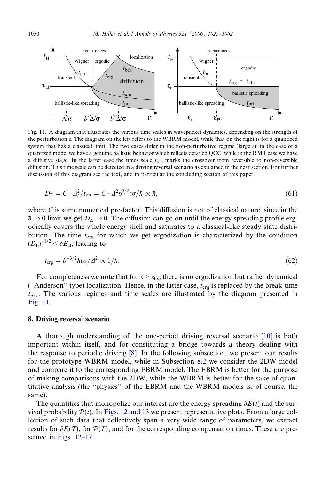<span id="page-25-0"></span>

Fig. 11. A diagram that illustrates the various time scales in wavepacket dynamics, depending on the strength of the perturbation  $\varepsilon$ . The diagram on the left refers to the WBRM model, while that on the right is for a quantized system that has a classical limit. The two cases differ in the non-perturbative regime (large  $\varepsilon$ ): in the case of a quantized model we have a genuine ballistic behavior which reflects detailed QCC, while in the RMT case we have a diffusive stage. In the latter case the times scale  $t_{\rm sdn}$  marks the crossover from reversible to non-reversible diffusion. This time scale can be detected in a driving reversal scenario as explained in the next section. For further discussion of this diagram see the text, and in particular the concluding section of this paper.

$$
D_{\rm E} = C \cdot \Delta_b^2 / t_{\rm prt} = C \cdot \Delta^2 b^{5/2} \omega / \hbar \propto \hbar, \qquad (61)
$$

where  $C$  is some numerical pre-factor. This diffusion is not of classical nature, since in the  $\hbar \to 0$  limit we get  $D_E \to 0$ . The diffusion can go on until the energy spreading profile ergodically covers the whole energy shell and saturates to a classical-like steady state distribution. The time  $t_{\text{erg}}$  for which we get ergodization is characterized by the condition  $(D_{\rm E}t)^{1/2} < \delta E_{\rm cl}$ , leading to

$$
t_{\rm erg} = b^{-3/2} \hbar \varepsilon \sigma / \varDelta^2 \propto 1/\hbar. \tag{62}
$$

For completeness we note that for  $\varepsilon > \varepsilon_{loc}$  there is no ergodization but rather dynamical ("Anderson" type) localization. Hence, in the latter case,  $t_{\text{erg}}$  is replaced by the break-time  $t_{\text{brk}}$ . The various regimes and time scales are illustrated by the diagram presented in Fig. 11.

# 8. Driving reversal scenario

A thorough understanding of the one-period driving reversal scenario [\[10\]](#page-37-0) is both important within itself, and for constituting a bridge towards a theory dealing with the response to periodic driving [\[8\].](#page-37-0) In the following subsection, we present our results for the prototype WBRM model, while in Subsection [8.2](#page-33-0) we consider the 2DW model and compare it to the corresponding EBRM model. The EBRM is better for the purpose of making comparisons with the 2DW, while the WBRM is better for the sake of quantitative analysis (the ''physics'' of the EBRM and the WBRM models is, of course, the same).

The quantities that monopolize our interest are the energy spreading  $\delta E(t)$  and the survival probability  $\mathcal{P}(t)$ . In [Figs. 12 and 13](#page-26-0) we present representative plots. From a large collection of such data that collectively span a very wide range of parameters, we extract results for  $\delta E(T)$ , for  $\mathcal{P}(T)$ , and for the corresponding compensation times. These are presented in [Figs. 12–17.](#page-26-0)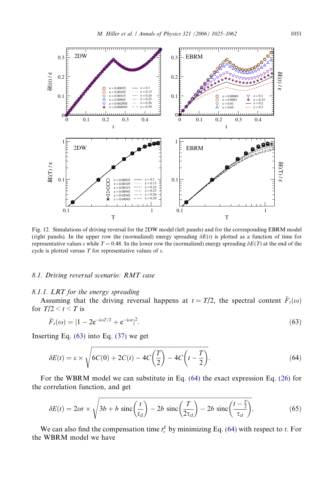<span id="page-26-0"></span>

Fig. 12. Simulations of driving reversal for the 2DW model (left panels) and for the corresponding EBRM model (right panels). In the upper row the (normalized) energy spreading  $\delta E(t)$  is plotted as a function of time for representative values  $\varepsilon$  while  $T = 0.48$ . In the lower row the (normalized) energy spreading  $\delta E(T)$  at the end of the cycle is plotted versus  $T$  for representative values of  $\varepsilon$ .

#### 8.1. Driving reversal scenario: RMT case

#### 8.1.1. LRT for the energy spreading

Assuming that the driving reversal happens at  $t = T/2$ , the spectral content  $\tilde{F}_t(\omega)$ for  $T/2 \leq t \leq T$  is

$$
\tilde{F}_t(\omega) = |1 - 2e^{-i\omega t/2} + e^{-i\omega t}|^2.
$$
\n(63)

Inserting Eq.  $(63)$  into Eq.  $(37)$  we get

$$
\delta E(t) = \varepsilon \times \sqrt{6C(0) + 2C(t) - 4C\left(\frac{T}{2}\right) - 4C\left(t - \frac{T}{2}\right)}.
$$
\n(64)

For the WBRM model we can substitute in Eq. (64) the exact expression Eq. [\(26\)](#page-12-0) for the correlation function, and get

$$
\delta E(t) = 2\varepsilon\sigma \times \sqrt{3b + b \, \text{sinc}\left(\frac{t}{t_{\text{cl}}}\right) - 2b \, \text{sinc}\left(\frac{T}{2\tau_{\text{cl}}}\right) - 2b \, \text{sinc}\left(\frac{t - \frac{T}{2}}{\tau_{\text{cl}}}\right)}.\tag{65}
$$

We can also find the compensation time  $t_r^E$  by minimizing Eq. (64) with respect to t. For the WBRM model we have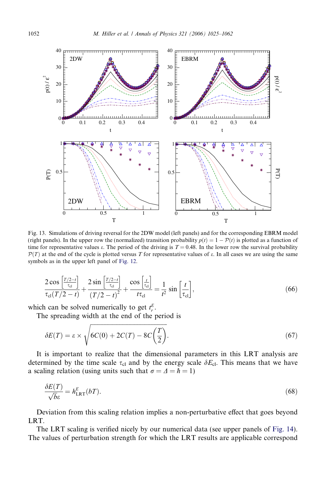<span id="page-27-0"></span>

Fig. 13. Simulations of driving reversal for the 2DW model (left panels) and for the corresponding EBRM model (right panels). In the upper row the (normalized) transition probability  $p(t) = 1 - P(t)$  is plotted as a function of time for representative values  $\varepsilon$ . The period of the driving is  $T = 0.48$ . In the lower row the survival probability  $P(T)$  at the end of the cycle is plotted versus T for representative values of  $\varepsilon$ . In all cases we are using the same symbols as in the upper left panel of [Fig. 12.](#page-26-0)

$$
\frac{2\cos\left[\frac{T/2-t}{\tau_{\rm cl}}\right]}{\tau_{\rm cl}(T/2-t)} + \frac{2\sin\left[\frac{T/2-t}{\tau_{\rm cl}}\right]}{(T/2-t)^2} + \frac{\cos\left[\frac{t}{\tau_{\rm cl}}\right]}{t\tau_{\rm cl}} = \frac{1}{t^2}\sin\left[\frac{t}{\tau_{\rm cl}}\right],\tag{66}
$$

which can be solved numerically to get  $t_r^E$ .

The spreading width at the end of the period is

$$
\delta E(T) = \varepsilon \times \sqrt{6C(0) + 2C(T) - 8C\left(\frac{T}{2}\right)}.
$$
\n(67)

It is important to realize that the dimensional parameters in this LRT analysis are determined by the time scale  $\tau_{cl}$  and by the energy scale  $\delta E_{cl}$ . This means that we have a scaling relation (using units such that  $\sigma = \Delta = \hbar = 1$ )

$$
\frac{\delta E(T)}{\sqrt{b}\varepsilon} = h_{\text{LRT}}^E(bT). \tag{68}
$$

Deviation from this scaling relation implies a non-perturbative effect that goes beyond LRT.

The LRT scaling is verified nicely by our numerical data (see upper panels of [Fig. 14](#page-28-0)). The values of perturbation strength for which the LRT results are applicable correspond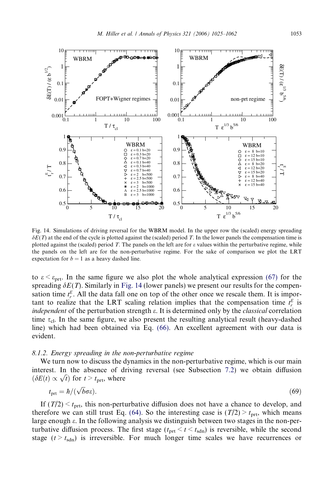<span id="page-28-0"></span>

Fig. 14. Simulations of driving reversal for the WBRM model. In the upper row the (scaled) energy spreading  $\delta E(T)$  at the end of the cycle is plotted against the (scaled) period T. In the lower panels the compensation time is plotted against the (scaled) period T. The panels on the left are for  $\varepsilon$  values within the perturbative regime, while the panels on the left are for the non-perturbative regime. For the sake of comparison we plot the LRT expectation for  $b = 1$  as a heavy dashed line.

to  $\varepsilon < \varepsilon_{\rm prt}$ . In the same figure we also plot the whole analytical expression [\(67\)](#page-27-0) for the spreading  $\delta E(T)$ . Similarly in Fig. 14 (lower panels) we present our results for the compensation time  $t_r^E$ . All the data fall one on top of the other once we rescale them. It is important to realize that the LRT scaling relation implies that the compensation time  $t_r^E$  is independent of the perturbation strength  $\varepsilon$ . It is determined only by the *classical* correlation time  $\tau_{\rm cl}$ . In the same figure, we also present the resulting analytical result (heavy-dashed line) which had been obtained via Eq. [\(66\)](#page-27-0). An excellent agreement with our data is evident.

## 8.1.2. Energy spreading in the non-perturbative regime

We turn now to discuss the dynamics in the non-perturbative regime, which is our main interest. In the absence of driving reversal (see Subsection [7.2\)](#page-24-0) we obtain diffusion interest. In the absence of d.<br>  $(\delta E(t) \propto \sqrt{t})$  for  $t > t_{\text{prt}}$ , where

$$
t_{\text{prt}} = \hbar / (\sqrt{b} \sigma \varepsilon). \tag{69}
$$

If  $(T/2) < t<sub>prt</sub>$ , this non-perturbative diffusion does not have a chance to develop, and therefore we can still trust Eq. [\(64\)](#page-26-0). So the interesting case is  $(T/2) > t_{\text{ort}}$ , which means large enough e. In the following analysis we distinguish between two stages in the non-perturbative diffusion process. The first stage  $(t_{\text{prt}} < t < t_{\text{sdn}})$  is reversible, while the second stage  $(t > t_{sdn})$  is irreversible. For much longer time scales we have recurrences or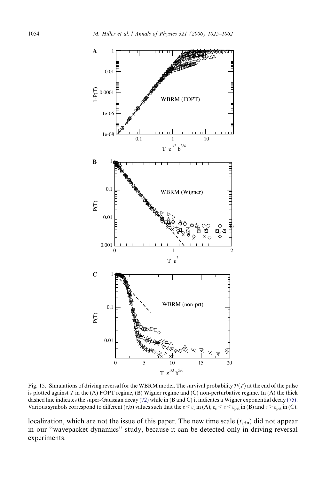<span id="page-29-0"></span>

Fig. 15. Simulations of driving reversal for the WBRM model. The survival probability  $P(T)$  at the end of the pulse is plotted against  $T$  in the (A) FOPT regime, (B) Wigner regime and (C) non-perturbative regime. In (A) the thick dashed line indicates the super-Gaussian decay [\(72\)](#page-32-0) while in (B and C) it indicates a Wigner exponential decay [\(75\)](#page-32-0). Various symbols correspond to different  $(\varepsilon, b)$  values such that the  $\varepsilon < \varepsilon_c$  in (A);  $\varepsilon_c < \varepsilon < \varepsilon_{\rm prt}$  in (B) and  $\varepsilon > \varepsilon_{\rm prt}$  in (C).

localization, which are not the issue of this paper. The new time scale  $(t_{sdn})$  did not appear in our ''wavepacket dynamics'' study, because it can be detected only in driving reversal experiments.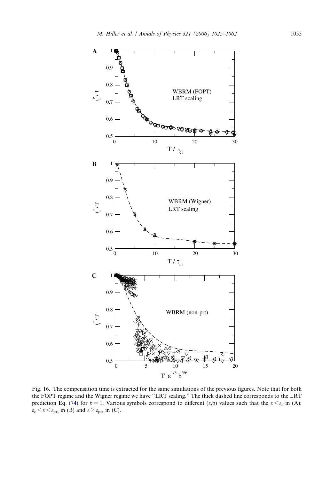<span id="page-30-0"></span>

Fig. 16. The compensation time is extracted for the same simulations of the previous figures. Note that for both the FOPT regime and the Wigner regime we have ''LRT scaling.'' The thick dashed line corresponds to the LRT prediction Eq. [\(74\)](#page-32-0) for  $b = 1$ . Various symbols correspond to different (e,b) values such that the  $\varepsilon < \varepsilon_c$  in (A);  $\varepsilon_c < \varepsilon < \varepsilon_{\text{prt}}$  in (B) and  $\varepsilon > \varepsilon_{\text{prt}}$  in (C).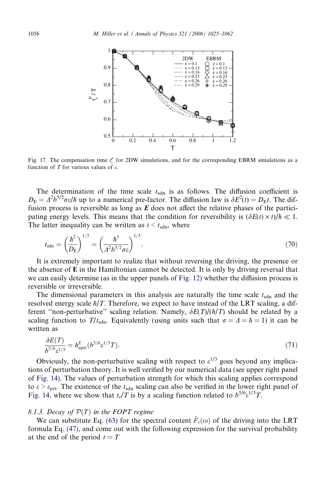<span id="page-31-0"></span>

Fig. 17. The compensation time  $t_r^p$  for 2DW simulations, and for the corresponding EBRM simulations as a function of T for various values of  $\varepsilon$ .

The determination of the time scale  $t_{\text{sdn}}$  is as follows. The diffusion coefficient is  $D_{\rm E} = \Delta^2 b^{5/2} \sigma \epsilon / \hbar$  up to a numerical pre-factor. The diffusion law is  $\delta E^2(t) = D_{\rm E} t$ . The diffusion process is reversible as long as  $E$  does not affect the relative phases of the participating energy levels. This means that the condition for reversibility is  $(\delta E(t) \times t)/\hbar \ll 1$ . The latter inequality can be written as  $t \leq t_{\text{sdn}}$ , where

$$
t_{\rm sdn} = \left(\frac{\hbar^2}{D_{\rm E}}\right)^{1/3} = \left(\frac{\hbar^3}{A^2 b^{5/2} \sigma \varepsilon}\right)^{1/3}.
$$
 (70)

It is extremely important to realize that without reversing the driving, the presence or the absence of  $E$  in the Hamiltonian cannot be detected. It is only by driving reversal that we can easily determine (as in the upper panels of [Fig. 12](#page-26-0)) whether the diffusion process is reversible or irreversible.

The dimensional parameters in this analysis are naturally the time scale  $t<sub>sdn</sub>$  and the resolved energy scale  $\hbar/T$ . Therefore, we expect to have instead of the LRT scaling, a different "non-perturbative" scaling relation. Namely,  $\delta E(T)/(\hbar/T)$  should be related by a scaling function to  $T/t_{\text{sdn}}$ . Equivalently (using units such that  $\sigma = \Delta = \hbar = 1$ ) it can be written as

$$
\frac{\delta E(T)}{b^{5/6} \varepsilon^{1/3}} = h_{\text{nprt}}^E (b^{5/6} \varepsilon^{1/3} T). \tag{71}
$$

Obviously, the non-perturbative scaling with respect to  $\varepsilon^{1/3}$  goes beyond any implications of perturbation theory. It is well verified by our numerical data (see upper right panel of [Fig. 14\)](#page-28-0). The values of perturbation strength for which this scaling applies correspond to  $\epsilon > \epsilon_{\text{prt}}$ . The existence of the  $t_{\text{sdn}}$  scaling can also be verified in the lower right panel of [Fig. 14](#page-28-0), where we show that  $t_r/T$  is by a scaling function related to  $b^{5/6} \varepsilon^{1/3}T$ .

# 8.1.3. Decay of  $\mathcal{P}(T)$  in the FOPT regime

We can substitute Eq. [\(63\)](#page-26-0) for the spectral content  $\tilde{F}_t(\omega)$  of the driving into the LRT formula Eq. [\(47\)](#page-20-0), and come out with the following expression for the survival probability at the end of the period  $t = T$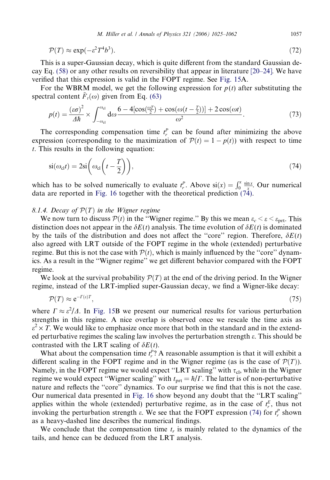<span id="page-32-0"></span>
$$
\mathcal{P}(T) \approx \exp(-\varepsilon^2 T^4 b^3). \tag{72}
$$

This is a super-Gaussian decay, which is quite different from the standard Gaussian decay Eq. [\(58\)](#page-24-0) or any other results on reversibility that appear in literature [\[20–24\].](#page-37-0) We have verified that this expression is valid in the FOPT regime. See [Fig. 15A](#page-29-0).

For the WBRM model, we get the following expression for  $p(t)$  after substituting the spectral content  $F_t(\omega)$  given from Eq. [\(63\)](#page-26-0)

$$
p(t) = \frac{(\varepsilon \sigma)^2}{\Delta \hbar} \times \int_{-\omega_{\rm cl}}^{\omega_{\rm cl}} d\omega \frac{6 - 4[\cos(\frac{\omega \tau}{2}) + \cos(\omega(t - \frac{\tau}{2}))] + 2\cos(\omega t)}{\omega^2}.
$$
 (73)

The corresponding compensation time  $t_r^p$  can be found after minimizing the above expression (corresponding to the maximization of  $\mathcal{P}(t) = 1 - p(t)$ ) with respect to time t. This results in the following equation:

$$
si(\omega_{cl}t) = 2si\left(\omega_{cl}\left(t - \frac{T}{2}\right)\right),\tag{74}
$$

which has to be solved numerically to evaluate  $t_r^P$ . Above  $si(x) = \int_0^x \frac{\sin x}{x}$ . Our numerical data are reported in [Fig. 16](#page-30-0) together with the theoretical prediction (74).

# 8.1.4. Decay of  $\mathcal{P}(T)$  in the Wigner regime

We now turn to discuss  $P(t)$  in the "Wigner regime." By this we mean  $\varepsilon_c < \varepsilon < \varepsilon_{\rm prt}$ . This distinction does not appear in the  $\delta E(t)$  analysis. The time evolution of  $\delta E(t)$  is dominated by the tails of the distribution and does not affect the "core" region. Therefore,  $\delta E(t)$ also agreed with LRT outside of the FOPT regime in the whole (extended) perturbative regime. But this is not the case with  $\mathcal{P}(t)$ , which is mainly influenced by the "core" dynamics. As a result in the ''Wigner regime'' we get different behavior compared with the FOPT regime.

We look at the survival probability  $\mathcal{P}(T)$  at the end of the driving period. In the Wigner regime, instead of the LRT-implied super-Gaussian decay, we find a Wigner-like decay:

$$
\mathcal{P}(T) \approx \mathrm{e}^{-\Gamma(\varepsilon)T},\tag{75}
$$

where  $\Gamma \approx \varepsilon^2/\Delta$ . In [Fig. 15](#page-29-0)B we present our numerical results for various perturbation strengths in this regime. A nice overlap is observed once we rescale the time axis as  $\varepsilon^2 \times T$ . We would like to emphasize once more that both in the standard and in the extended perturbative regimes the scaling law involves the perturbation strength e. This should be contrasted with the LRT scaling of  $\delta E(t)$ .

What about the compensation time  $t_r^P$ ? A reasonable assumption is that it will exhibit a different scaling in the FOPT regime and in the Wigner regime (as is the case of  $\mathcal{P}(T)$ ). Namely, in the FOPT regime we would expect "LRT scaling" with  $\tau_{\text{cl}}$ , while in the Wigner regime we would expect "Wigner scaling" with  $t_{\text{prt}} = \hbar / \Gamma$ . The latter is of non-perturbative nature and reflects the ''core'' dynamics. To our surprise we find that this is not the case. Our numerical data presented in [Fig. 16](#page-30-0) show beyond any doubt that the ''LRT scaling'' applies within the whole (extended) perturbative regime, as in the case of  $t_r^E$ , thus not invoking the perturbation strength  $\varepsilon$ . We see that the FOPT expression (74) for  $t_r^P$  shown as a heavy-dashed line describes the numerical findings.

We conclude that the compensation time  $t_r$  is mainly related to the dynamics of the tails, and hence can be deduced from the LRT analysis.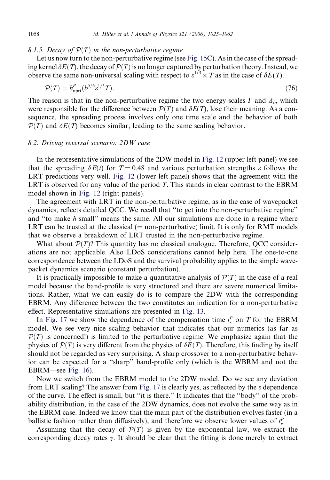#### <span id="page-33-0"></span>8.1.5. Decay of  $\mathcal{P}(T)$  in the non-perturbative regime

Let us now turn to the non-perturbative regime (see [Fig. 15C](#page-29-0)). As in the case of the spreading kernel  $\delta E(T)$ , the decay of  $\mathcal{P}(T)$  is no longer captured by perturbation theory. Instead, we observe the same non-universal scaling with respect to  $\varepsilon^{1/3} \times T$  as in the case of  $\delta E(T)$ .

$$
\mathcal{P}(T) = h_{\rm nprt}^P(b^{5/6} \varepsilon^{1/3} T). \tag{76}
$$

The reason is that in the non-perturbative regime the two energy scales  $\Gamma$  and  $\Delta_b$ , which were responsible for the difference between  $\mathcal{P}(T)$  and  $\delta E(T)$ , lose their meaning. As a consequence, the spreading process involves only one time scale and the behavior of both  $\mathcal{P}(T)$  and  $\delta E(T)$  becomes similar, leading to the same scaling behavior.

# 8.2. Driving reversal scenario: 2DW case

In the representative simulations of the 2DW model in [Fig. 12](#page-26-0) (upper left panel) we see that the spreading  $\delta E(t)$  for T = 0.48 and various perturbation strengths  $\varepsilon$  follows the LRT predictions very well. [Fig. 12](#page-26-0) (lower left panel) shows that the agreement with the LRT is observed for any value of the period  $T$ . This stands in clear contrast to the EBRM model shown in [Fig. 12](#page-26-0) (right panels).

The agreement with LRT in the non-perturbative regime, as in the case of wavepacket dynamics, reflects detailed QCC. We recall that ''to get into the non-perturbative regime'' and "to make  $\hbar$  small" means the same. All our simulations are done in a regime where LRT can be trusted at the classical  $(= non-perturbative)$  limit. It is only for RMT models that we observe a breakdown of LRT trusted in the non-perturbative regime.

What about  $\mathcal{P}(T)$ ? This quantity has no classical analogue. Therefore, QCC considerations are not applicable. Also LDoS considerations cannot help here. The one-to-one correspondence between the LDoS and the survival probability applies to the simple wavepacket dynamics scenario (constant perturbation).

It is practically impossible to make a quantitative analysis of  $\mathcal{P}(T)$  in the case of a real model because the band-profile is very structured and there are severe numerical limitations. Rather, what we can easily do is to compare the 2DW with the corresponding EBRM. Any difference between the two constitutes an indication for a non-perturbative effect. Representative simulations are presented in [Fig. 13.](#page-27-0)

In [Fig. 17](#page-31-0) we show the dependence of the compensation time  $t_r^P$  on T for the EBRM model. We see very nice scaling behavior that indicates that our numerics (as far as  $\mathcal{P}(T)$  is concerned!) is limited to the perturbative regime. We emphasize again that the physics of  $\mathcal{P}(T)$  is very different from the physics of  $\delta E(T)$ . Therefore, this finding by itself should not be regarded as very surprising. A sharp crossover to a non-perturbative behavior can be expected for a ''sharp'' band-profile only (which is the WBRM and not the EBRM—see [Fig. 16\)](#page-30-0).

Now we switch from the EBRM model to the 2DW model. Do we see any deviation from LRT scaling? The answer from [Fig. 17](#page-31-0) is clearly yes, as reflected by the  $\varepsilon$  dependence of the curve. The effect is small, but ''it is there.'' It indicates that the ''body'' of the probability distribution, in the case of the 2DW dynamics, does not evolve the same way as in the EBRM case. Indeed we know that the main part of the distribution evolves faster (in a ballistic fashion rather than diffusively), and therefore we observe lower values of  $t_r^p$ .

Assuming that the decay of  $\mathcal{P}(T)$  is given by the exponential law, we extract the corresponding decay rates  $\gamma$ . It should be clear that the fitting is done merely to extract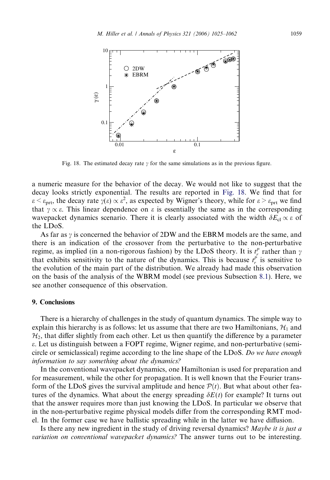<span id="page-34-0"></span>

Fig. 18. The estimated decay rate  $\gamma$  for the same simulations as in the previous figure.

a numeric measure for the behavior of the decay. We would not like to suggest that the decay looks strictly exponential. The results are reported in Fig. 18. We find that for  $\varepsilon < \varepsilon_{\text{prt}}$ , the decay rate  $\gamma(\varepsilon) \propto \varepsilon^2$ , as expected by Wigner's theory, while for  $\varepsilon > \varepsilon_{\text{prt}}$  we find that  $\gamma \propto \varepsilon$ . This linear dependence on  $\varepsilon$  is essentially the same as in the corresponding wavepacket dynamics scenario. There it is clearly associated with the width  $\delta E_{cl} \propto \varepsilon$  of the LDoS.

As far as  $\gamma$  is concerned the behavior of 2DW and the EBRM models are the same, and there is an indication of the crossover from the perturbative to the non-perturbative regime, as implied (in a non-rigorous fashion) by the LDoS theory. It is  $t_r^P$  rather than  $\gamma$ that exhibits sensitivity to the nature of the dynamics. This is because  $t_r^P$  is sensitive to the evolution of the main part of the distribution. We already had made this observation on the basis of the analysis of the WBRM model (see previous Subsection [8.1\)](#page-26-0). Here, we see another consequence of this observation.

#### 9. Conclusions

There is a hierarchy of challenges in the study of quantum dynamics. The simple way to explain this hierarchy is as follows: let us assume that there are two Hamiltonians,  $\mathcal{H}_1$  and  $H<sub>2</sub>$ , that differ slightly from each other. Let us then quantify the difference by a parameter e. Let us distinguish between a FOPT regime, Wigner regime, and non-perturbative (semicircle or semiclassical) regime according to the line shape of the LDoS. Do we have enough information to say something about the dynamics?

In the conventional wavepacket dynamics, one Hamiltonian is used for preparation and for measurement, while the other for propagation. It is well known that the Fourier transform of the LDoS gives the survival amplitude and hence  $\mathcal{P}(t)$ . But what about other features of the dynamics. What about the energy spreading  $\delta E(t)$  for example? It turns out that the answer requires more than just knowing the LDoS. In particular we observe that in the non-perturbative regime physical models differ from the corresponding RMT model. In the former case we have ballistic spreading while in the latter we have diffusion.

Is there any new ingredient in the study of driving reversal dynamics? Maybe it is just a variation on conventional wavepacket dynamics? The answer turns out to be interesting.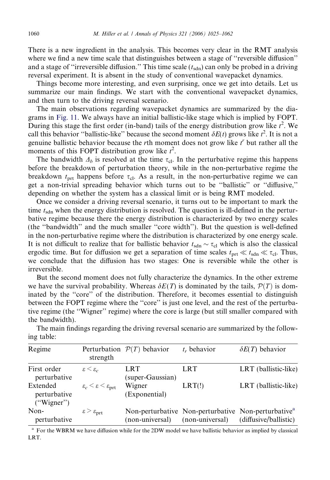There is a new ingredient in the analysis. This becomes very clear in the RMT analysis where we find a new time scale that distinguishes between a stage of "reversible diffusion" and a stage of "irreversible diffusion." This time scale  $(t_{sdn})$  can only be probed in a driving reversal experiment. It is absent in the study of conventional wavepacket dynamics.

Things become more interesting, and even surprising, once we get into details. Let us summarize our main findings. We start with the conventional wavepacket dynamics, and then turn to the driving reversal scenario.

The main observations regarding wavepacket dynamics are summarized by the diagrams in [Fig. 11.](#page-25-0) We always have an initial ballistic-like stage which is implied by FOPT. During this stage the first order (in-band) tails of the energy distribution grow like  $t^2$ . We call this behavior "ballistic-like" because the second moment  $\delta E(t)$  grows like  $t^2$ . It is not a genuine ballistic behavior because the rth moment does not grow like  $t^r$  but rather all the moments of this FOPT distribution grow like  $t^2$ .

The bandwidth  $\Delta_b$  is resolved at the time  $\tau_{\rm cl}$ . In the perturbative regime this happens before the breakdown of perturbation theory, while in the non-perturbative regime the breakdown  $t_{\text{prt}}$  happens before  $\tau_{\text{cl}}$ . As a result, in the non-perturbative regime we can get a non-trivial spreading behavior which turns out to be ''ballistic'' or ''diffusive,'' depending on whether the system has a classical limit or is being RMT modeled.

Once we consider a driving reversal scenario, it turns out to be important to mark the time  $t_{\text{sdn}}$  when the energy distribution is resolved. The question is ill-defined in the perturbative regime because there the energy distribution is characterized by two energy scales (the ''bandwidth'' and the much smaller ''core width''). But the question is well-defined in the non-perturbative regime where the distribution is characterized by one energy scale. It is not difficult to realize that for ballistic behavior  $t_{\text{sdn}} \sim \tau_{\text{cl}}$  which is also the classical ergodic time. But for diffusion we get a separation of time scales  $t_{\text{prt}} \ll t_{\text{sdn}} \ll \tau_{\text{cl}}$ . Thus, we conclude that the diffusion has two stages: One is reversible while the other is irreversible.

But the second moment does not fully characterize the dynamics. In the other extreme we have the survival probability. Whereas  $\delta E(T)$  is dominated by the tails,  $\mathcal{P}(T)$  is dominated by the ''core'' of the distribution. Therefore, it becomes essential to distinguish between the FOPT regime where the ''core'' is just one level, and the rest of the perturbative regime (the ''Wigner'' regime) where the core is large (but still smaller compared with the bandwidth).

| Regime                                 | strength                                                    | Perturbation $\mathcal{P}(T)$ behavior | $t_r$ behavior  | $\delta E(T)$ behavior                                                                   |
|----------------------------------------|-------------------------------------------------------------|----------------------------------------|-----------------|------------------------------------------------------------------------------------------|
| First order<br>perturbative            | $\varepsilon \leq \varepsilon_c$                            | <b>LRT</b><br>(super-Gaussian)         | <b>LRT</b>      | LRT (ballistic-like)                                                                     |
| Extended<br>perturbative<br>("Wigner") | $\varepsilon_c \leq \varepsilon \leq \varepsilon_{\rm prt}$ | Wigner<br>(Exponential)                | LRT(!)          | LRT (ballistic-like)                                                                     |
| Non-<br>perturbative                   | $\varepsilon > \varepsilon$ <sub>prt</sub>                  | (non-universal)                        | (non-universal) | Non-perturbative Non-perturbative Non-perturbative <sup>a</sup><br>(diffusive/ballistic) |

The main findings regarding the driving reversal scenario are summarized by the following table:

<sup>a</sup> For the WBRM we have diffusion while for the 2DW model we have ballistic behavior as implied by classical LRT.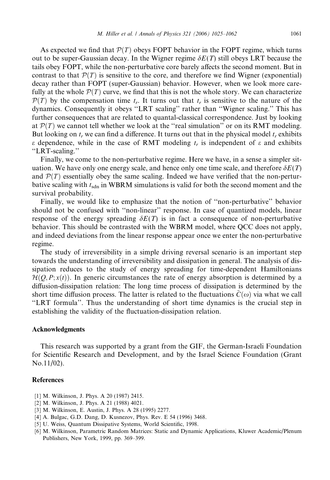<span id="page-36-0"></span>As expected we find that  $P(T)$  obeys FOPT behavior in the FOPT regime, which turns out to be super-Gaussian decay. In the Wigner regime  $\delta E(T)$  still obeys LRT because the tails obey FOPT, while the non-perturbative core barely affects the second moment. But in contrast to that  $P(T)$  is sensitive to the core, and therefore we find Wigner (exponential) decay rather than FOPT (super-Gaussian) behavior. However, when we look more carefully at the whole  $P(T)$  curve, we find that this is not the whole story. We can characterize  $\mathcal{P}(T)$  by the compensation time  $t_r$ . It turns out that  $t_r$  is sensitive to the nature of the dynamics. Consequently it obeys ''LRT scaling'' rather than ''Wigner scaling.'' This has further consequences that are related to quantal-classical correspondence. Just by looking at  $P(T)$  we cannot tell whether we look at the "real simulation" or on its RMT modeling. But looking on  $t_r$  we can find a difference. It turns out that in the physical model  $t_r$  exhibits  $\varepsilon$  dependence, while in the case of RMT modeling  $t_r$  is independent of  $\varepsilon$  and exhibits ''LRT-scaling.''

Finally, we come to the non-perturbative regime. Here we have, in a sense a simpler situation. We have only one energy scale, and hence only one time scale, and therefore  $\delta E(T)$ and  $\mathcal{P}(T)$  essentially obey the same scaling. Indeed we have verified that the non-perturbative scaling with  $t_{\text{sdn}}$  in WBRM simulations is valid for both the second moment and the survival probability.

Finally, we would like to emphasize that the notion of ''non-perturbative'' behavior should not be confused with ''non-linear'' response. In case of quantized models, linear response of the energy spreading  $\delta E(T)$  is in fact a consequence of non-perturbative behavior. This should be contrasted with the WBRM model, where QCC does not apply, and indeed deviations from the linear response appear once we enter the non-perturbative regime.

The study of irreversibility in a simple driving reversal scenario is an important step towards the understanding of irreversibility and dissipation in general. The analysis of dissipation reduces to the study of energy spreading for time-dependent Hamiltonians  $\mathcal{H}(O, P; x(t))$ . In generic circumstances the rate of energy absorption is determined by a diffusion-dissipation relation: The long time process of dissipation is determined by the short time diffusion process. The latter is related to the fluctuations  $C(\omega)$  via what we call ''LRT formula''. Thus the understanding of short time dynamics is the crucial step in establishing the validity of the fluctuation-dissipation relation.

# Acknowledgments

This research was supported by a grant from the GIF, the German-Israeli Foundation for Scientific Research and Development, and by the Israel Science Foundation (Grant No.11/02).

#### **References**

- [1] M. Wilkinson, J. Phys. A 20 (1987) 2415.
- [2] M. Wilkinson, J. Phys. A 21 (1988) 4021.
- [3] M. Wilkinson, E. Austin, J. Phys. A 28 (1995) 2277.
- [4] A. Bulgac, G.D. Dang, D. Kusnezov, Phys. Rev. E 54 (1996) 3468.
- [5] U. Weiss, Quantum Dissipative Systems, World Scientific, 1998.
- [6] M. Wilkinson, Parametric Random Matrices: Static and Dynamic Applications, Kluwer Academic/Plenum Publishers, New York, 1999, pp. 369–399.